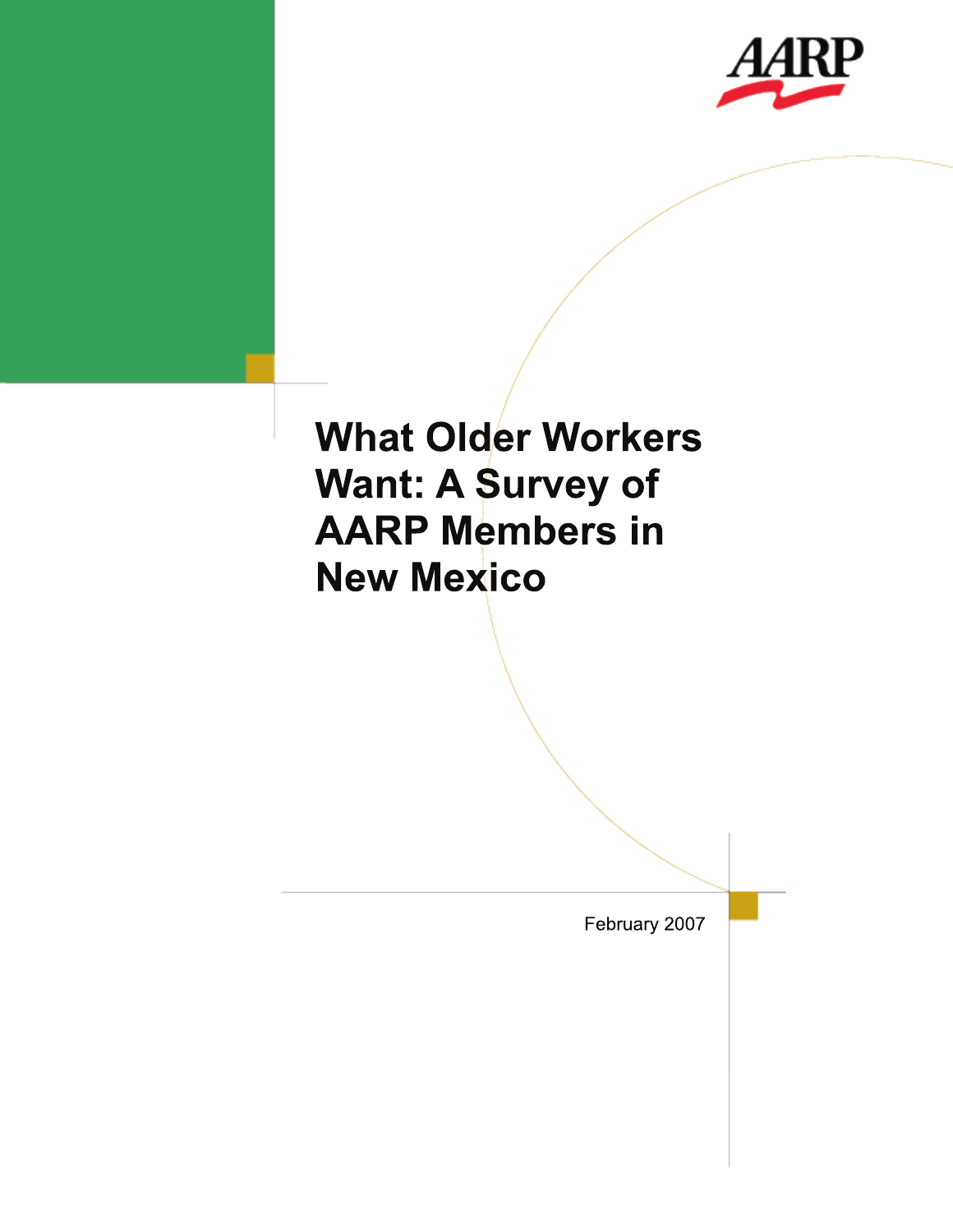

# **What Older Workers Want: A Survey of AARP Members in New Mexico**

February 2007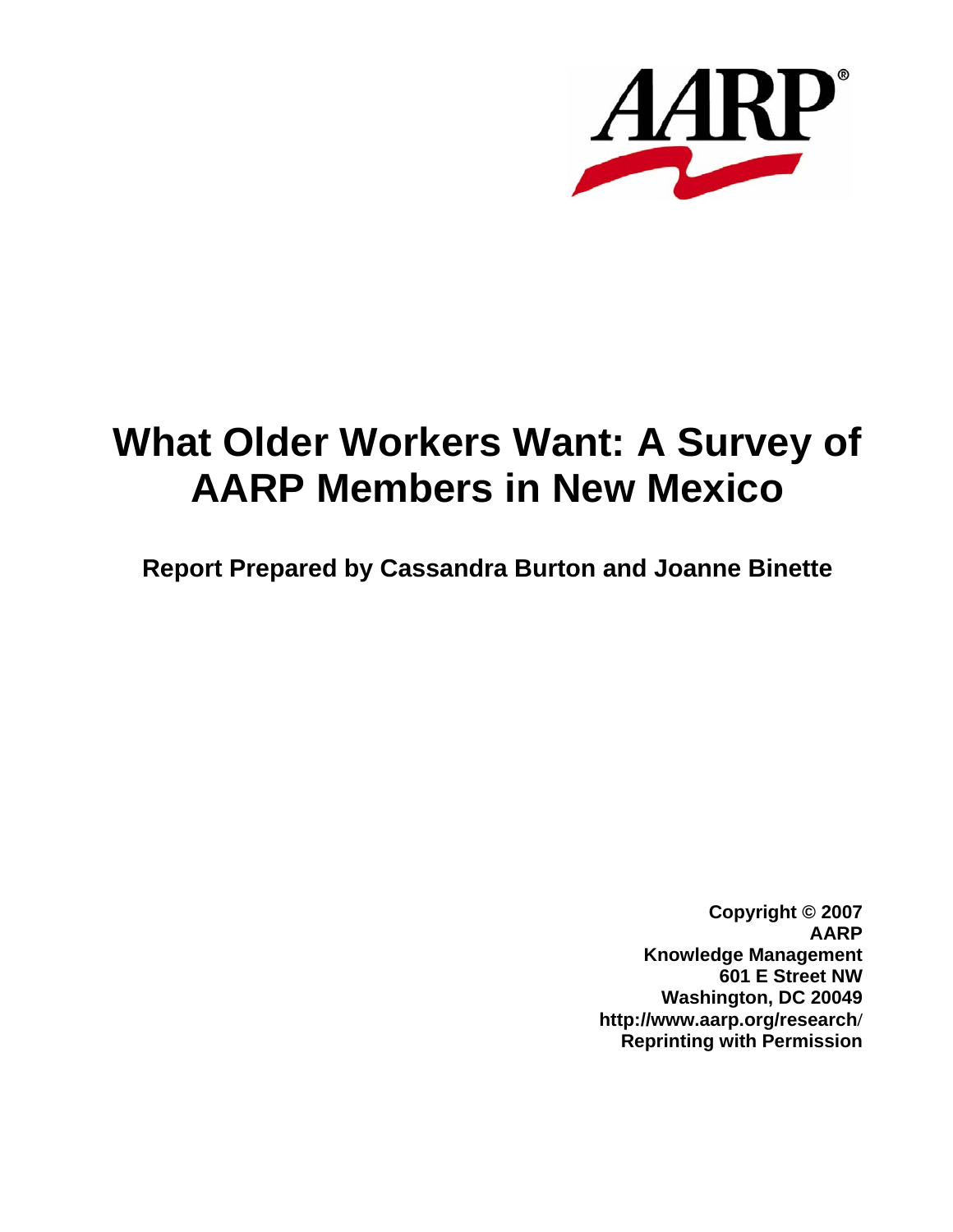

# **What Older Workers Want: A Survey of AARP Members in New Mexico**

**Report Prepared by Cassandra Burton and Joanne Binette**

**Copyright © 2007 AARP Knowledge Management 601 E Street NW Washington, DC 20049 http://www.aarp.org/research/ Reprinting with Permission**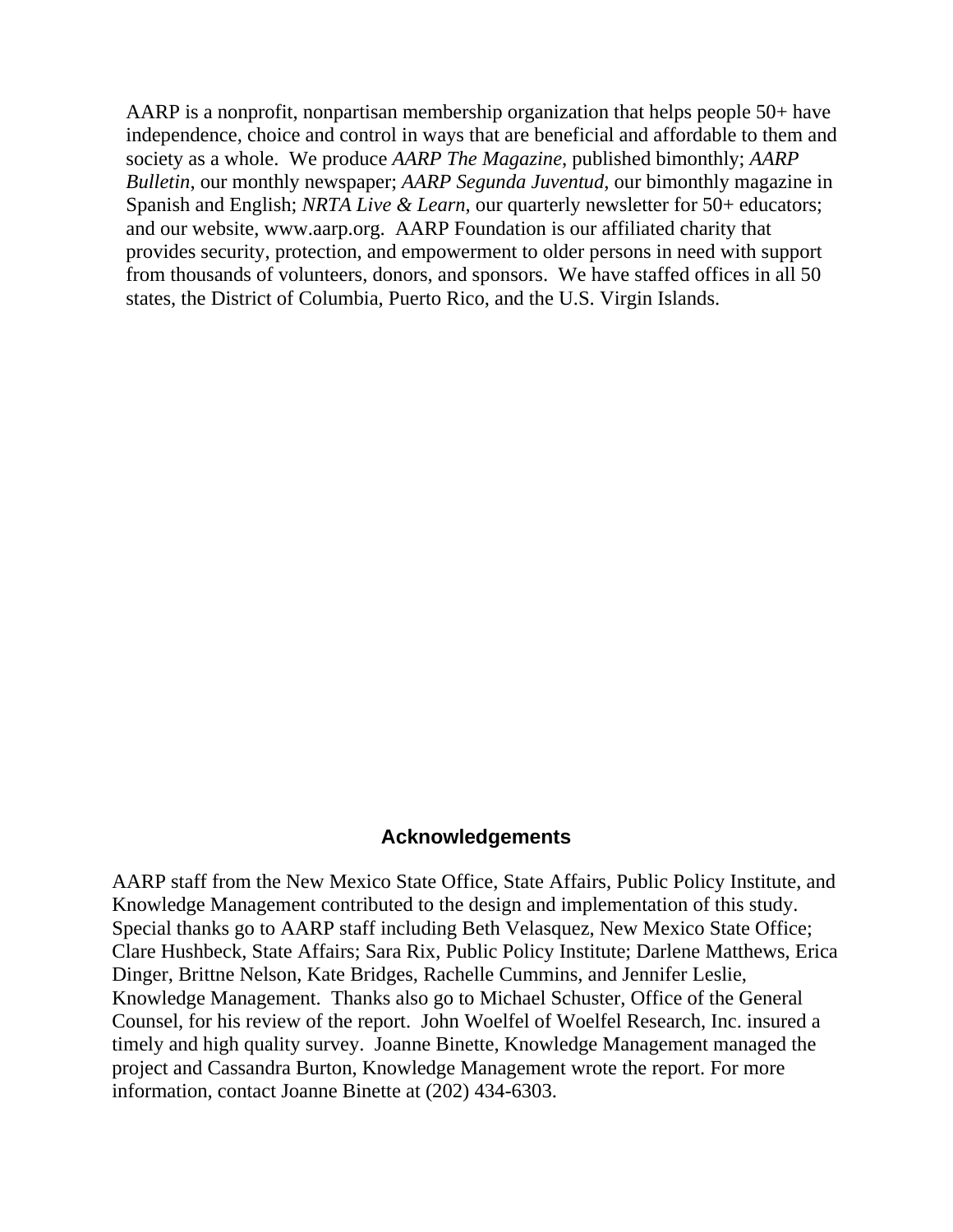AARP is a nonprofit, nonpartisan membership organization that helps people 50+ have independence, choice and control in ways that are beneficial and affordable to them and society as a whole. We produce *AARP The Magazine*, published bimonthly; *AARP Bulletin*, our monthly newspaper; *AARP Segunda Juventud*, our bimonthly magazine in Spanish and English; *NRTA Live & Learn*, our quarterly newsletter for 50+ educators; and our website, www.aarp.org. AARP Foundation is our affiliated charity that provides security, protection, and empowerment to older persons in need with support from thousands of volunteers, donors, and sponsors. We have staffed offices in all 50 states, the District of Columbia, Puerto Rico, and the U.S. Virgin Islands.

### **Acknowledgements**

AARP staff from the New Mexico State Office, State Affairs, Public Policy Institute, and Knowledge Management contributed to the design and implementation of this study. Special thanks go to AARP staff including Beth Velasquez, New Mexico State Office; Clare Hushbeck, State Affairs; Sara Rix, Public Policy Institute; Darlene Matthews, Erica Dinger, Brittne Nelson, Kate Bridges, Rachelle Cummins, and Jennifer Leslie, Knowledge Management. Thanks also go to Michael Schuster, Office of the General Counsel, for his review of the report. John Woelfel of Woelfel Research, Inc. insured a timely and high quality survey. Joanne Binette, Knowledge Management managed the project and Cassandra Burton, Knowledge Management wrote the report. For more information, contact Joanne Binette at (202) 434-6303.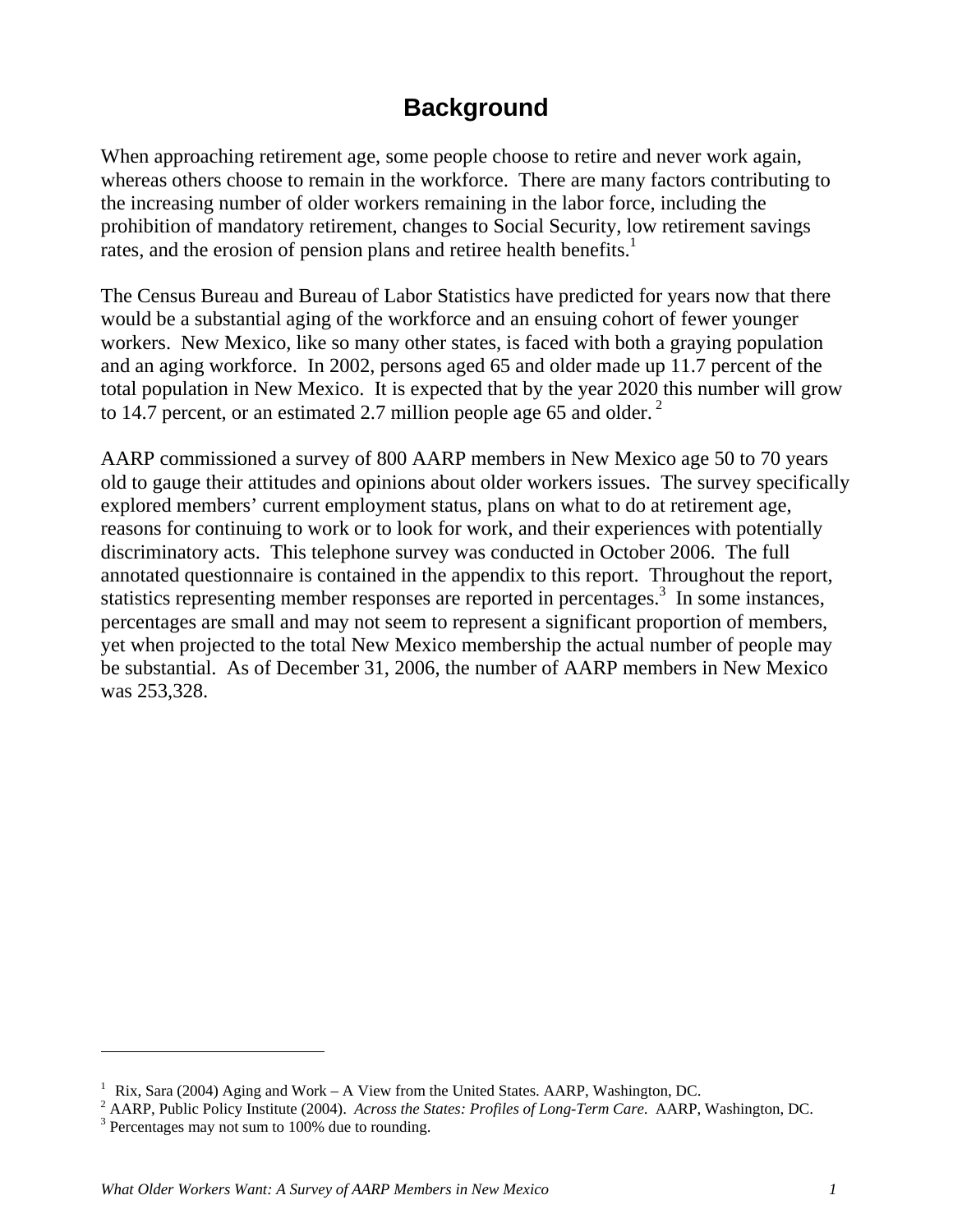# **Background**

When approaching retirement age, some people choose to retire and never work again, whereas others choose to remain in the workforce. There are many factors contributing to the increasing number of older workers remaining in the labor force, including the prohibition of mandatory retirement, changes to Social Security, low retirement savings rates, and the erosion of pension plans and retiree health benefits.<sup>1</sup>

The Census Bureau and Bureau of Labor Statistics have predicted for years now that there would be a substantial aging of the workforce and an ensuing cohort of fewer younger workers. New Mexico, like so many other states, is faced with both a graying population and an aging workforce. In 2002, persons aged 65 and older made up 11.7 percent of the total population in New Mexico. It is expected that by the year 2020 this number will grow to 14.7 percent, or an estimated 2.7 million people age 65 and older.<sup>2</sup>

AARP commissioned a survey of 800 AARP members in New Mexico age 50 to 70 years old to gauge their attitudes and opinions about older workers issues. The survey specifically explored members' current employment status, plans on what to do at retirement age, reasons for continuing to work or to look for work, and their experiences with potentially discriminatory acts. This telephone survey was conducted in October 2006. The full annotated questionnaire is contained in the appendix to this report. Throughout the report, statistics representing member responses are reported in percentages.<sup>3</sup> In some instances, percentages are small and may not seem to represent a significant proportion of members, yet when projected to the total New Mexico membership the actual number of people may be substantial. As of December 31, 2006, the number of AARP members in New Mexico was 253,328.

 $\overline{a}$ 

<sup>&</sup>lt;sup>1</sup> Rix, Sara (2004) Aging and Work – A View from the United States. AARP, Washington, DC.<br><sup>2</sup> AARP, Public Policy Institute (2004), Agrees the States: *Profiles of Long Tarm Cana*, AARP.

AARP, Public Policy Institute (2004). *Across the States: Profiles of Long-Term Care*. AARP, Washington, DC. 3

 $3$  Percentages may not sum to 100% due to rounding.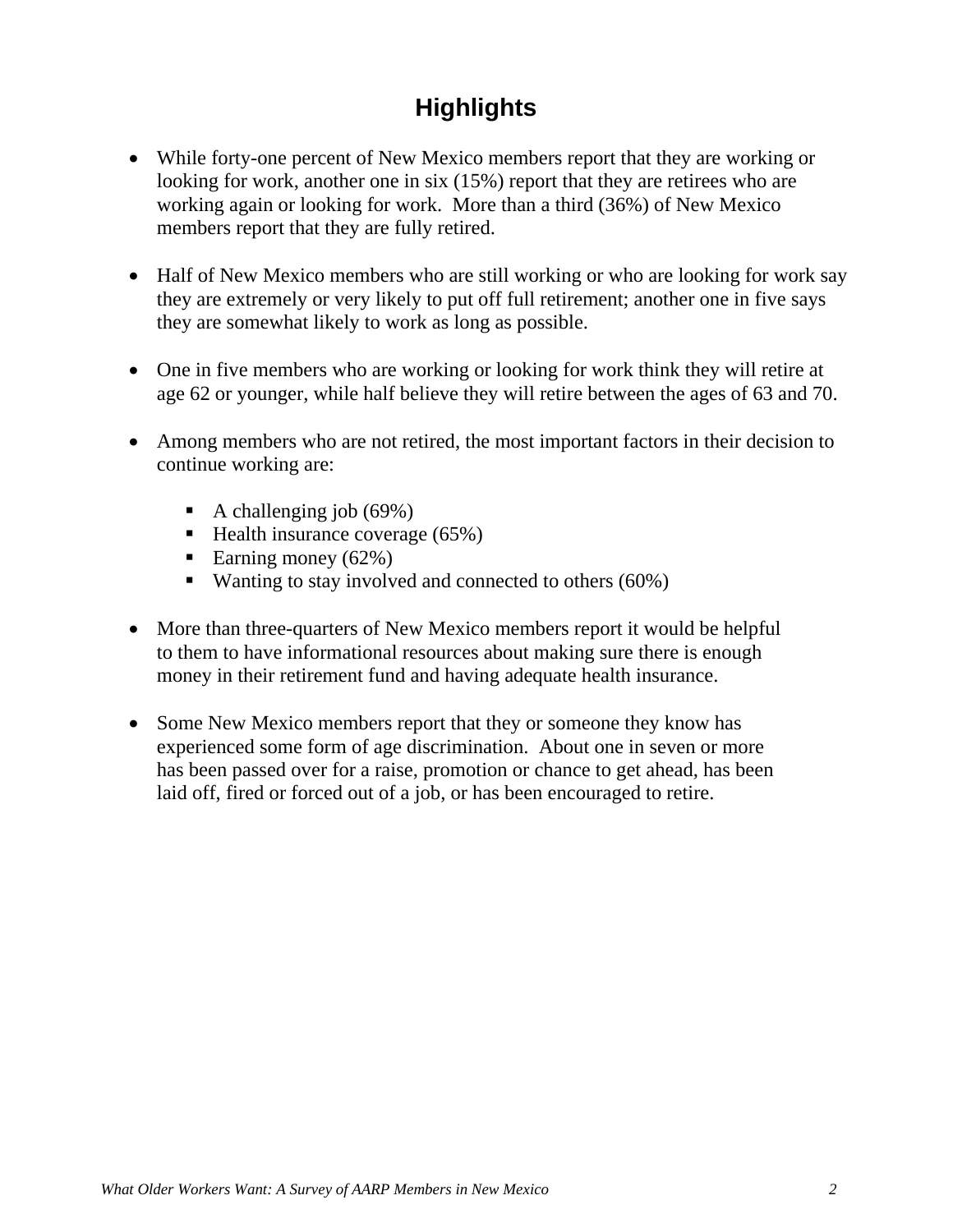# **Highlights**

- While forty-one percent of New Mexico members report that they are working or looking for work, another one in six  $(15%)$  report that they are retirees who are working again or looking for work. More than a third (36%) of New Mexico members report that they are fully retired.
- Half of New Mexico members who are still working or who are looking for work say they are extremely or very likely to put off full retirement; another one in five says they are somewhat likely to work as long as possible.
- One in five members who are working or looking for work think they will retire at age 62 or younger, while half believe they will retire between the ages of 63 and 70.
- Among members who are not retired, the most important factors in their decision to continue working are:
	- A challenging job  $(69\%)$
	- $\blacksquare$  Health insurance coverage (65%)
	- Earning money  $(62\%)$
	- Wanting to stay involved and connected to others (60%)
- More than three-quarters of New Mexico members report it would be helpful to them to have informational resources about making sure there is enough money in their retirement fund and having adequate health insurance.
- Some New Mexico members report that they or someone they know has experienced some form of age discrimination. About one in seven or more has been passed over for a raise, promotion or chance to get ahead, has been laid off, fired or forced out of a job, or has been encouraged to retire.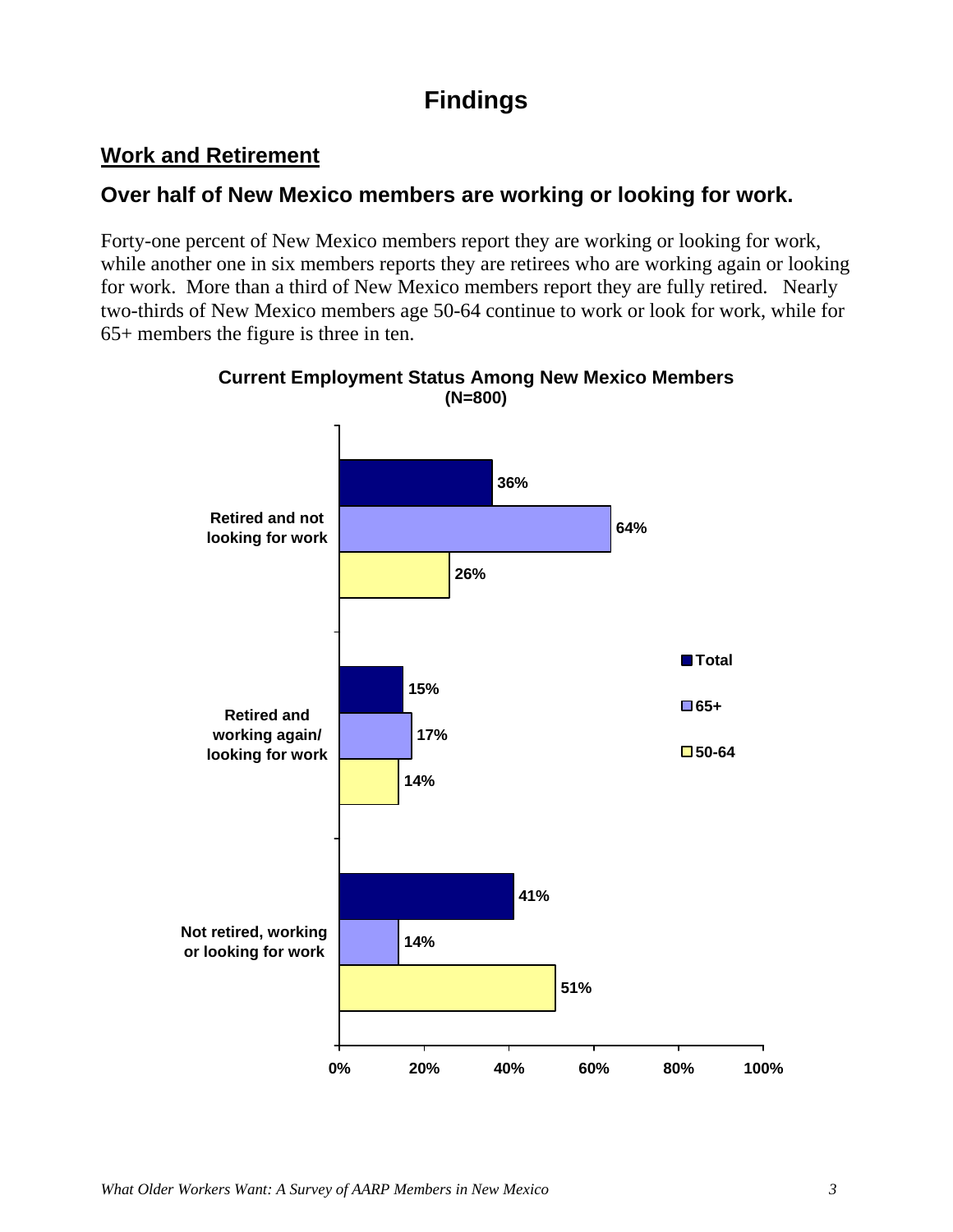# **Findings**

# **Work and Retirement**

# **Over half of New Mexico members are working or looking for work.**

Forty-one percent of New Mexico members report they are working or looking for work, while another one in six members reports they are retirees who are working again or looking for work. More than a third of New Mexico members report they are fully retired. Nearly two-thirds of New Mexico members age 50-64 continue to work or look for work, while for 65+ members the figure is three in ten.



### **Current Employment Status Among New Mexico Members (N=800)**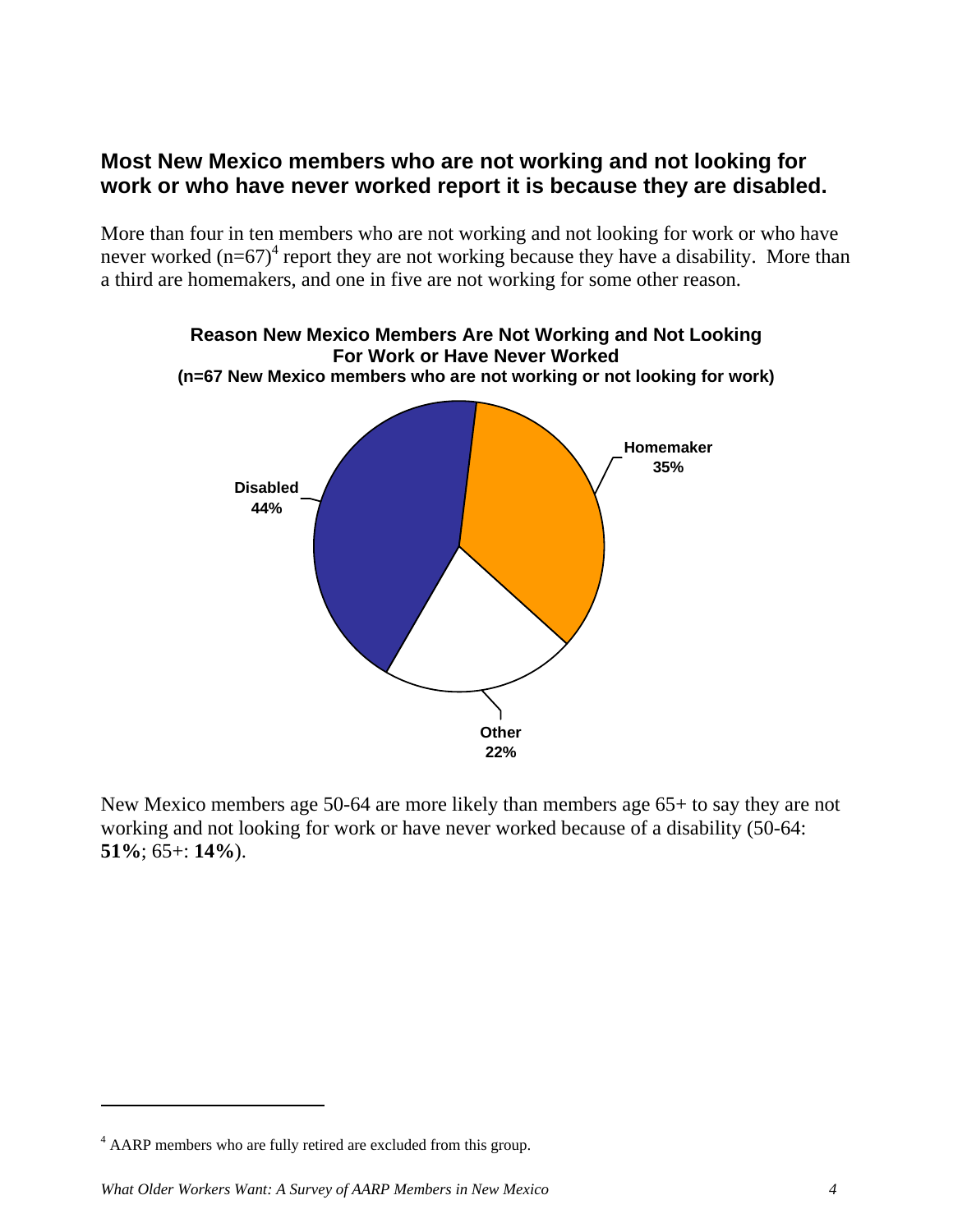# **Most New Mexico members who are not working and not looking for work or who have never worked report it is because they are disabled.**

More than four in ten members who are not working and not looking for work or who have never worked  $(n=67)^4$  report they are not working because they have a disability. More than a third are homemakers, and one in five are not working for some other reason.



New Mexico members age 50-64 are more likely than members age 65+ to say they are not working and not looking for work or have never worked because of a disability (50-64: **51%**; 65+: **14%**).

 $\overline{a}$ 

<sup>&</sup>lt;sup>4</sup> AARP members who are fully retired are excluded from this group.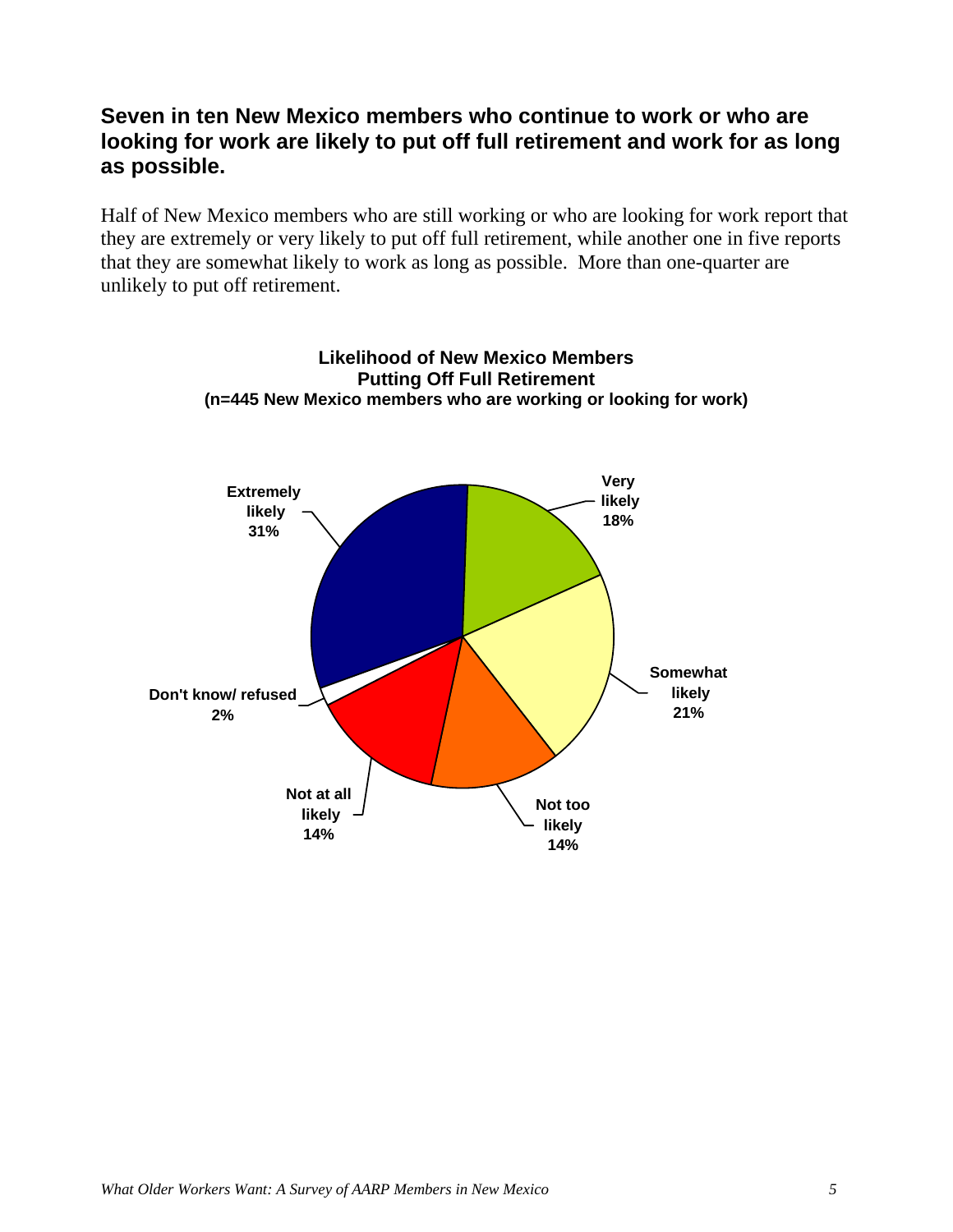# **Seven in ten New Mexico members who continue to work or who are looking for work are likely to put off full retirement and work for as long as possible.**

Half of New Mexico members who are still working or who are looking for work report that they are extremely or very likely to put off full retirement, while another one in five reports that they are somewhat likely to work as long as possible. More than one-quarter are unlikely to put off retirement.



**Likelihood of New Mexico Members Putting Off Full Retirement (n=445 New Mexico members who are working or looking for work)**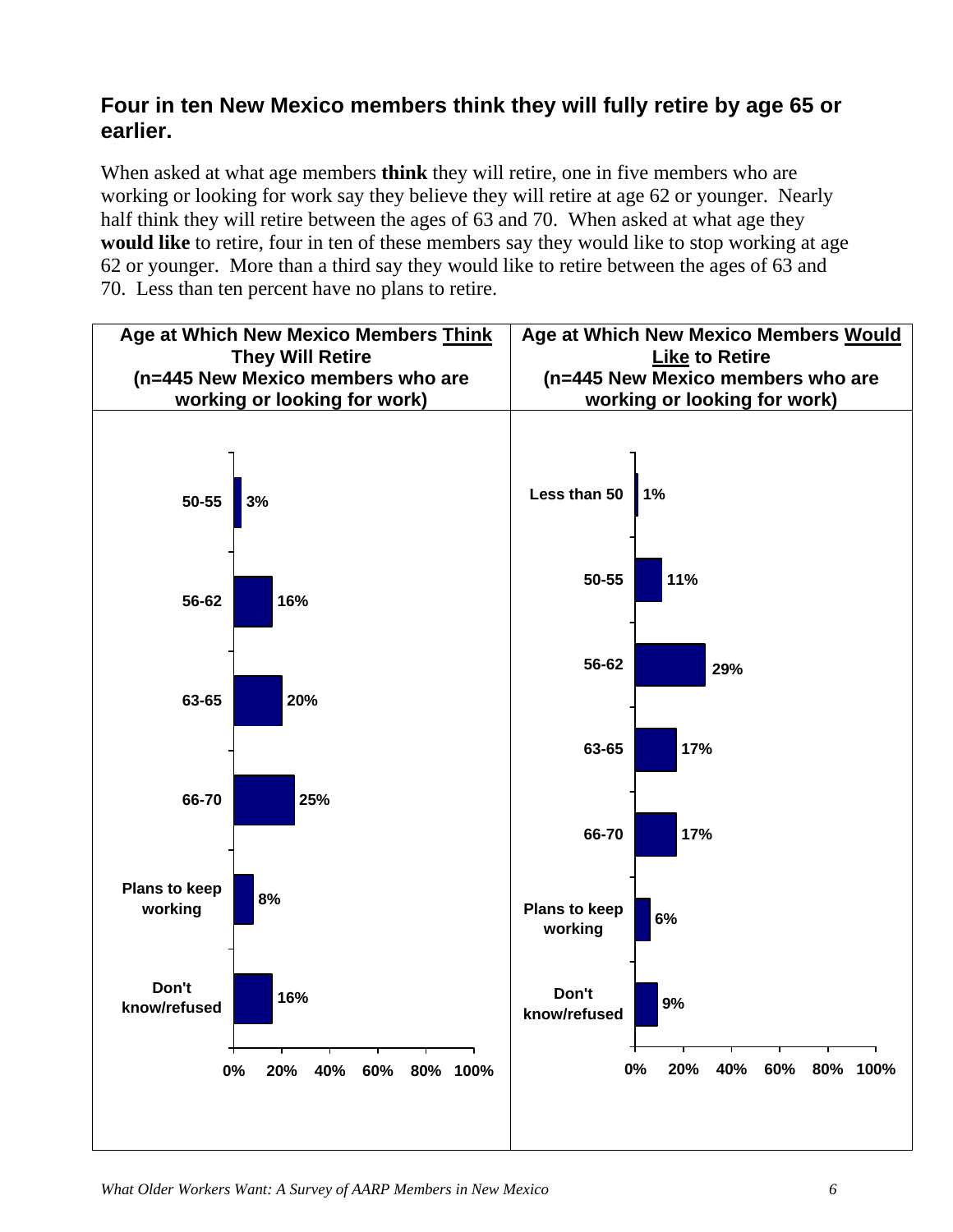# **Four in ten New Mexico members think they will fully retire by age 65 or earlier.**

When asked at what age members **think** they will retire, one in five members who are working or looking for work say they believe they will retire at age 62 or younger. Nearly half think they will retire between the ages of 63 and 70. When asked at what age they **would like** to retire, four in ten of these members say they would like to stop working at age 62 or younger. More than a third say they would like to retire between the ages of 63 and 70. Less than ten percent have no plans to retire.

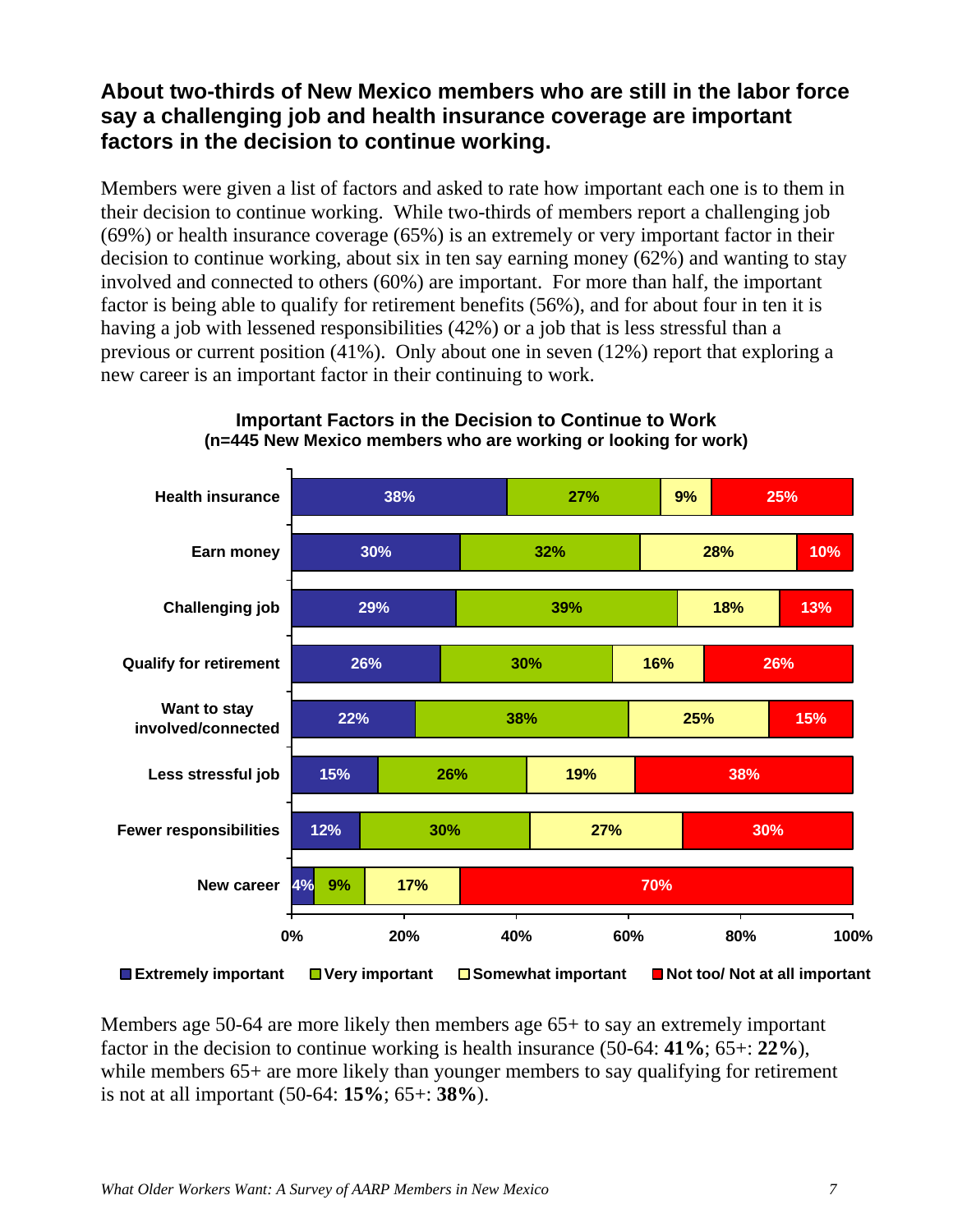# **About two-thirds of New Mexico members who are still in the labor force say a challenging job and health insurance coverage are important factors in the decision to continue working.**

Members were given a list of factors and asked to rate how important each one is to them in their decision to continue working. While two-thirds of members report a challenging job (69%) or health insurance coverage (65%) is an extremely or very important factor in their decision to continue working, about six in ten say earning money (62%) and wanting to stay involved and connected to others (60%) are important. For more than half, the important factor is being able to qualify for retirement benefits (56%), and for about four in ten it is having a job with lessened responsibilities (42%) or a job that is less stressful than a previous or current position (41%). Only about one in seven (12%) report that exploring a new career is an important factor in their continuing to work.



### **Important Factors in the Decision to Continue to Work (n=445 New Mexico members who are working or looking for work)**

Members age 50-64 are more likely then members age 65+ to say an extremely important factor in the decision to continue working is health insurance (50-64: **41%**; 65+: **22%**), while members 65+ are more likely than younger members to say qualifying for retirement is not at all important (50-64: **15%**; 65+: **38%**).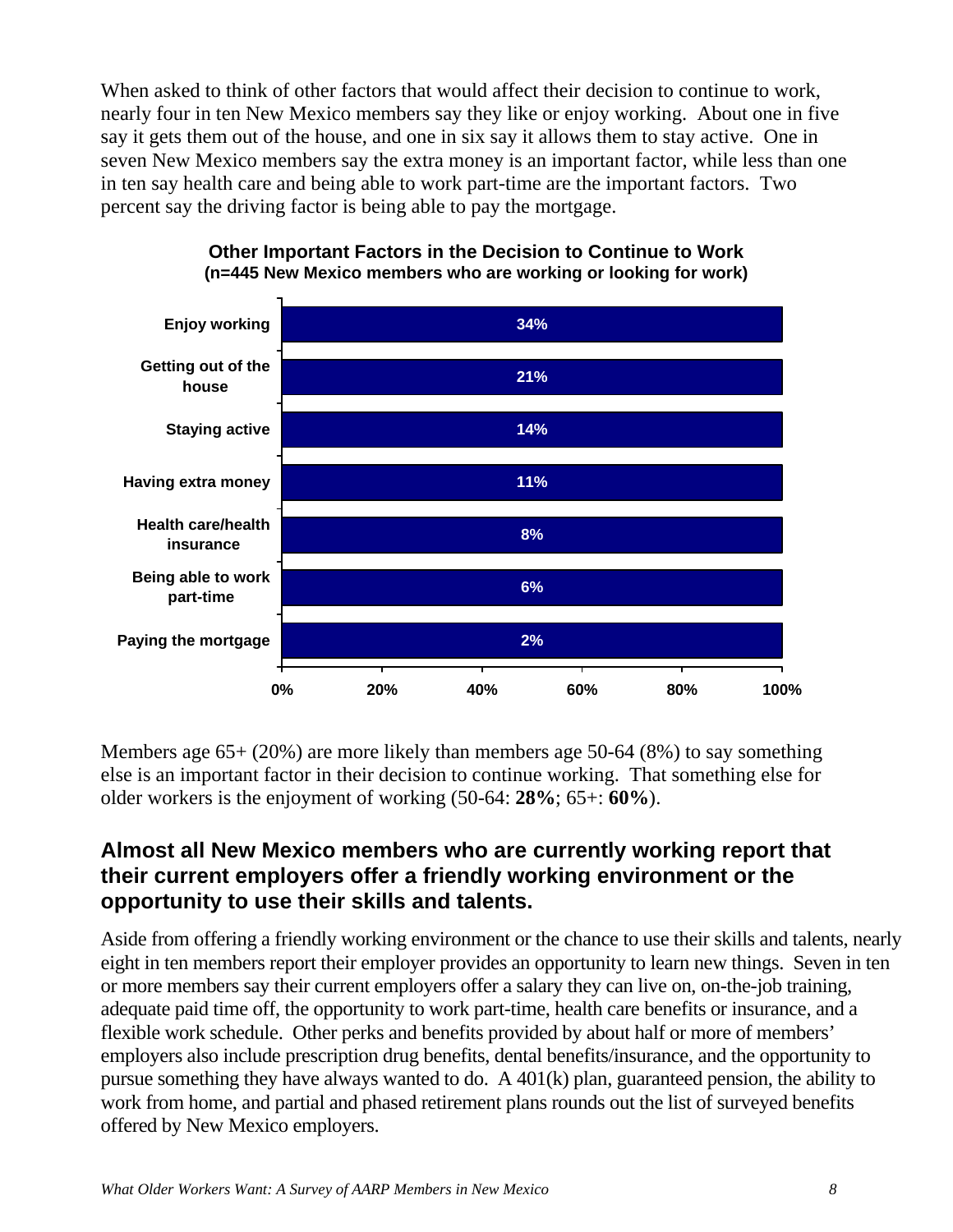When asked to think of other factors that would affect their decision to continue to work, nearly four in ten New Mexico members say they like or enjoy working. About one in five say it gets them out of the house, and one in six say it allows them to stay active. One in seven New Mexico members say the extra money is an important factor, while less than one in ten say health care and being able to work part-time are the important factors. Two percent say the driving factor is being able to pay the mortgage.



**Other Important Factors in the Decision to Continue to Work (n=445 New Mexico members who are working or looking for work)** 

Members age 65+ (20%) are more likely than members age 50-64 (8%) to say something else is an important factor in their decision to continue working. That something else for older workers is the enjoyment of working (50-64: **28%**; 65+: **60%**).

# **Almost all New Mexico members who are currently working report that their current employers offer a friendly working environment or the opportunity to use their skills and talents.**

Aside from offering a friendly working environment or the chance to use their skills and talents, nearly eight in ten members report their employer provides an opportunity to learn new things. Seven in ten or more members say their current employers offer a salary they can live on, on-the-job training, adequate paid time off, the opportunity to work part-time, health care benefits or insurance, and a flexible work schedule. Other perks and benefits provided by about half or more of members' employers also include prescription drug benefits, dental benefits/insurance, and the opportunity to pursue something they have always wanted to do. A 401(k) plan, guaranteed pension, the ability to work from home, and partial and phased retirement plans rounds out the list of surveyed benefits offered by New Mexico employers.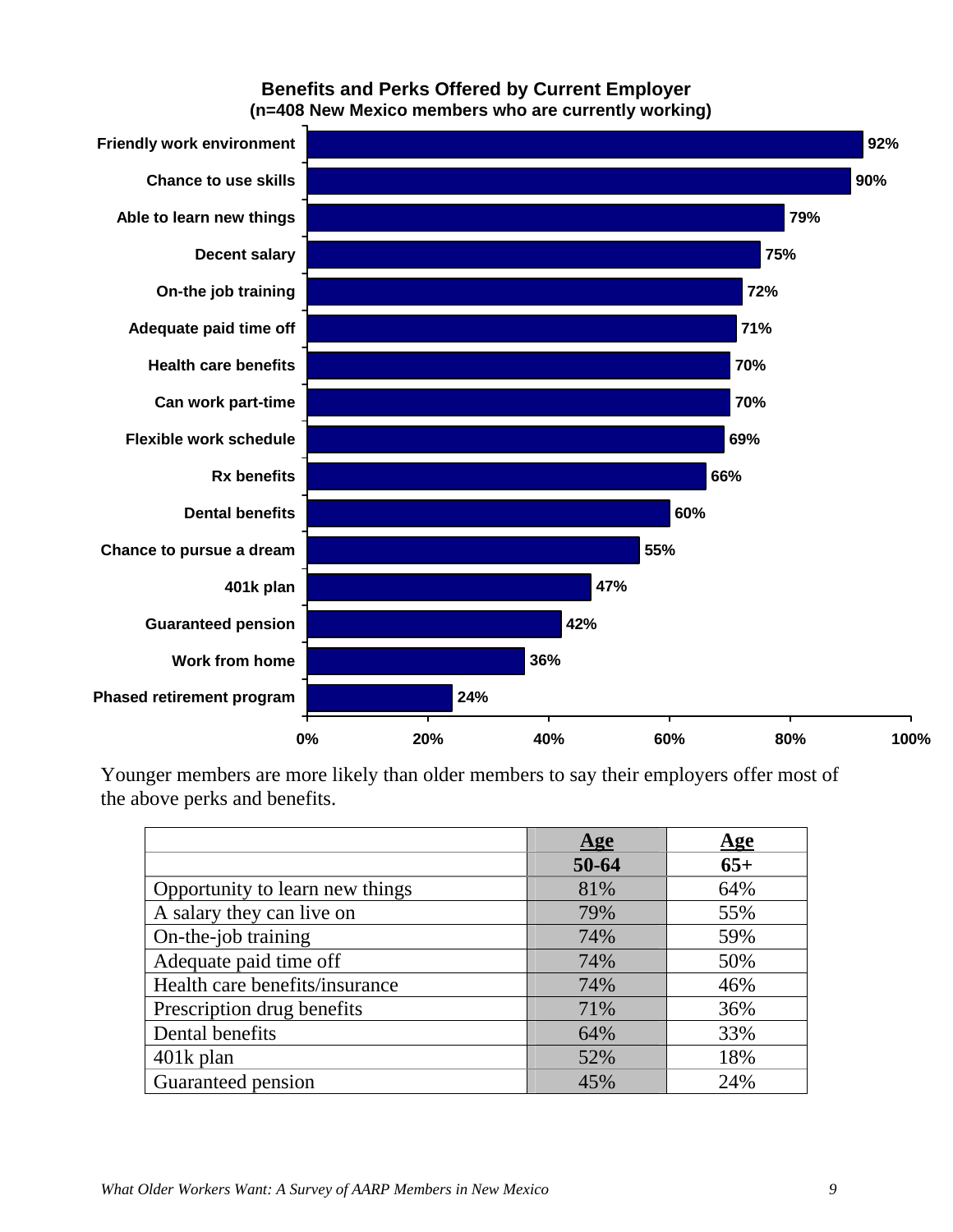### **Benefits and Perks Offered by Current Employer (n=408 New Mexico members who are currently working)**



Younger members are more likely than older members to say their employers offer most of the above perks and benefits.

|                                 | Age   | $\mathbf{Age}$ |
|---------------------------------|-------|----------------|
|                                 | 50-64 | $65+$          |
| Opportunity to learn new things | 81%   | 64%            |
| A salary they can live on       | 79%   | 55%            |
| On-the-job training             | 74%   | 59%            |
| Adequate paid time off          | 74%   | 50%            |
| Health care benefits/insurance  | 74%   | 46%            |
| Prescription drug benefits      | 71%   | 36%            |
| Dental benefits                 | 64%   | 33%            |
| $401k$ plan                     | 52%   | 18%            |
| Guaranteed pension              | 45%   | 24%            |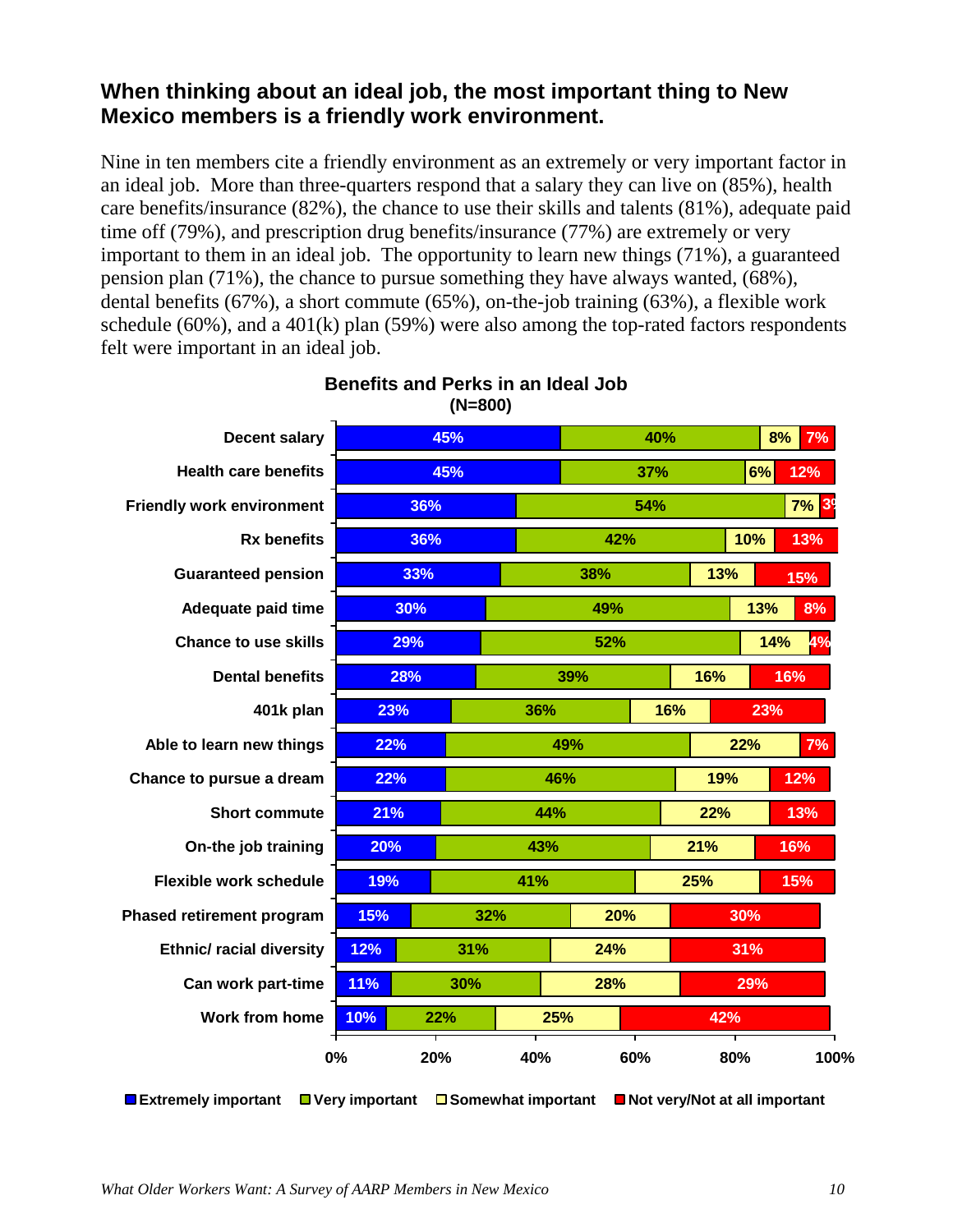# **When thinking about an ideal job, the most important thing to New Mexico members is a friendly work environment.**

Nine in ten members cite a friendly environment as an extremely or very important factor in an ideal job. More than three-quarters respond that a salary they can live on (85%), health care benefits/insurance (82%), the chance to use their skills and talents (81%), adequate paid time off (79%), and prescription drug benefits/insurance (77%) are extremely or very important to them in an ideal job. The opportunity to learn new things (71%), a guaranteed pension plan (71%), the chance to pursue something they have always wanted, (68%), dental benefits (67%), a short commute (65%), on-the-job training (63%), a flexible work schedule (60%), and a 401(k) plan (59%) were also among the top-rated factors respondents felt were important in an ideal job.

| <b>Decent salary</b>             |                               | 45%                  |     | 40%        |     |     | 8%<br>7%                        |
|----------------------------------|-------------------------------|----------------------|-----|------------|-----|-----|---------------------------------|
| <b>Health care benefits</b>      |                               | 45%                  |     | 37%        |     |     | 6%<br>12%                       |
| <b>Friendly work environment</b> | 36%                           |                      |     |            | 54% |     | <b>7% 39</b>                    |
| <b>Rx benefits</b>               | 36%                           |                      |     | 42%        |     | 10% | 13%                             |
| <b>Guaranteed pension</b>        | 33%                           |                      |     | 38%        |     | 13% | 15%                             |
| Adequate paid time               | 30%                           |                      |     | 49%        |     |     | 13%<br>8%                       |
| <b>Chance to use skills</b>      | 29%                           |                      |     | 52%        |     |     | 14%<br>4%                       |
| <b>Dental benefits</b>           | 28%                           |                      | 39% |            | 16% | 16% |                                 |
| 401k plan                        | 23%                           |                      | 36% |            | 16% |     | 23%                             |
| Able to learn new things         | 22%                           |                      |     | 49%        |     |     | 22%<br>7%                       |
| Chance to pursue a dream         | 22%                           |                      |     | 46%<br>19% |     |     | 12%                             |
| <b>Short commute</b>             | 21%                           |                      | 44% |            |     | 22% | 13%                             |
| On-the job training              | 20%                           |                      | 43% |            |     | 21% | 16%                             |
| <b>Flexible work schedule</b>    | 19%                           |                      | 41% |            |     | 25% | 15%                             |
| Phased retirement program        | 15%                           | 32%                  |     | 20%        |     | 30% |                                 |
| <b>Ethnic/ racial diversity</b>  | 12%                           | 31%                  |     | 24%        |     | 31% |                                 |
| Can work part-time               | 11%                           | 30%                  |     | 28%        |     |     | 29%                             |
| <b>Work from home</b>            | 10%                           | 22%                  | 25% |            |     | 42% |                                 |
|                                  | 0%                            | 20%                  | 40% |            | 60% | 80% | 100%                            |
| Extremely important              | $\blacksquare$ Very important | □ Somewhat important |     |            |     |     | ■ Not very/Not at all important |

### **Benefits and Perks in an Ideal Job (N=800)**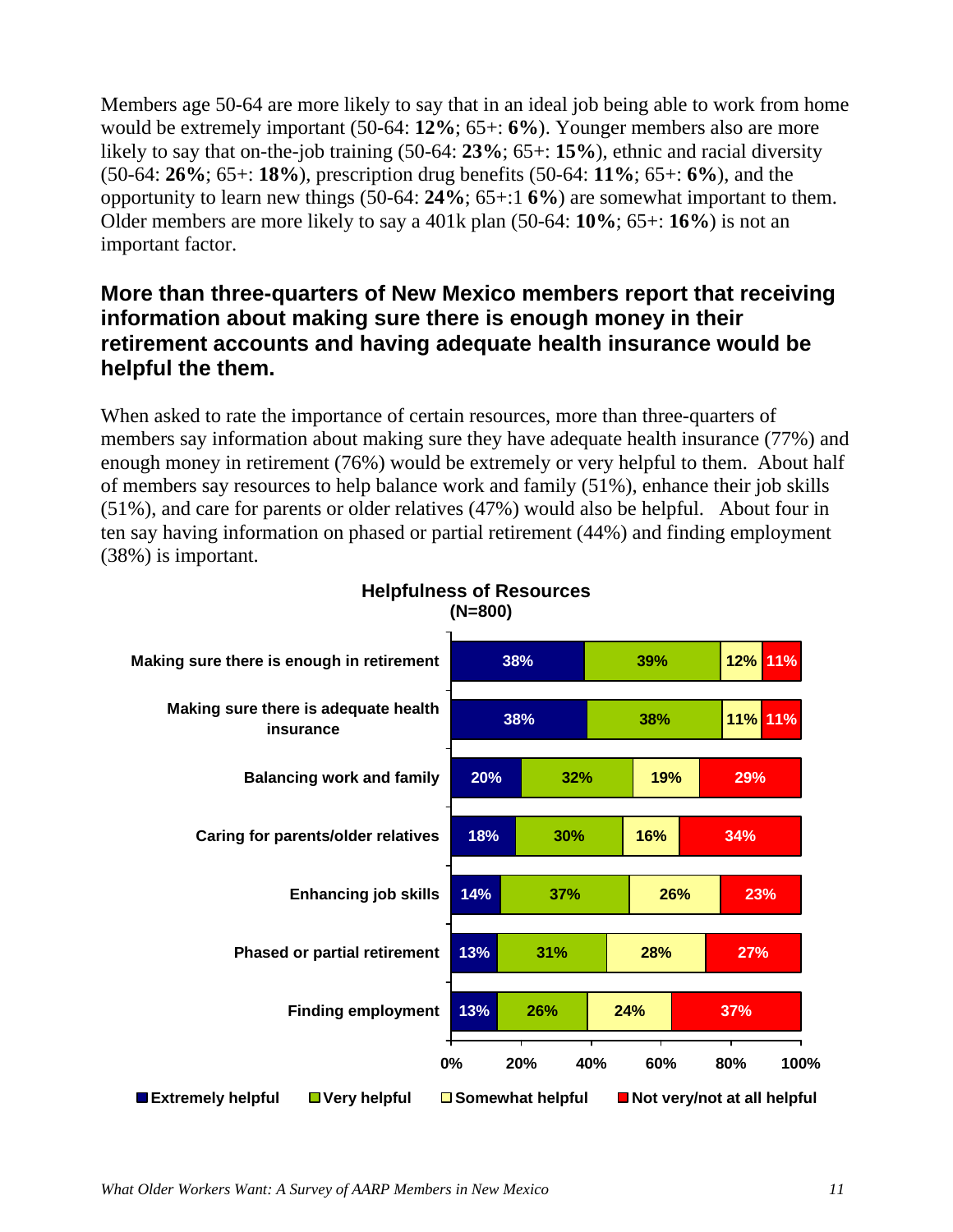Members age 50-64 are more likely to say that in an ideal job being able to work from home would be extremely important (50-64: **12%**; 65+: **6%**). Younger members also are more likely to say that on-the-job training (50-64: **23%**; 65+: **15%**), ethnic and racial diversity (50-64: **26%**; 65+: **18%**), prescription drug benefits (50-64: **11%**; 65+: **6%**), and the opportunity to learn new things (50-64: **24%**; 65+:1 **6%**) are somewhat important to them. Older members are more likely to say a 401k plan (50-64: **10%**; 65+: **16%**) is not an important factor.

# **More than three-quarters of New Mexico members report that receiving information about making sure there is enough money in their retirement accounts and having adequate health insurance would be helpful the them.**

When asked to rate the importance of certain resources, more than three-quarters of members say information about making sure they have adequate health insurance (77%) and enough money in retirement (76%) would be extremely or very helpful to them. About half of members say resources to help balance work and family (51%), enhance their job skills (51%), and care for parents or older relatives (47%) would also be helpful. About four in ten say having information on phased or partial retirement (44%) and finding employment (38%) is important.



### **Helpfulness of Resources (N=800)**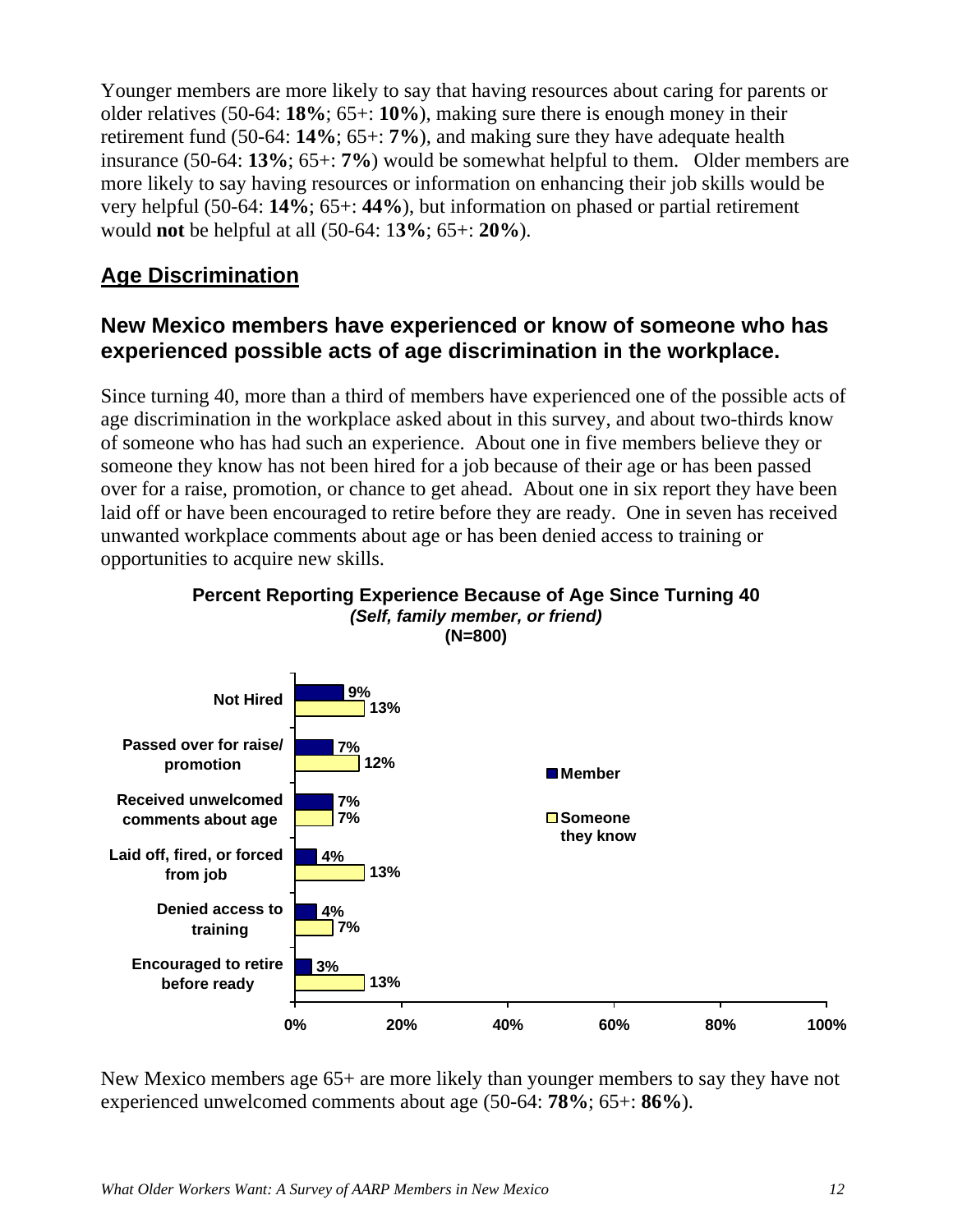Younger members are more likely to say that having resources about caring for parents or older relatives (50-64: **18%**; 65+: **10%**), making sure there is enough money in their retirement fund (50-64: **14%**; 65+: **7%**), and making sure they have adequate health insurance (50-64: **13%**; 65+: **7%**) would be somewhat helpful to them. Older members are more likely to say having resources or information on enhancing their job skills would be very helpful (50-64: **14%**; 65+: **44%**), but information on phased or partial retirement would **not** be helpful at all (50-64: 1**3%**; 65+: **20%**).

# **Age Discrimination**

## **New Mexico members have experienced or know of someone who has experienced possible acts of age discrimination in the workplace.**

Since turning 40, more than a third of members have experienced one of the possible acts of age discrimination in the workplace asked about in this survey, and about two-thirds know of someone who has had such an experience. About one in five members believe they or someone they know has not been hired for a job because of their age or has been passed over for a raise, promotion, or chance to get ahead. About one in six report they have been laid off or have been encouraged to retire before they are ready. One in seven has received unwanted workplace comments about age or has been denied access to training or opportunities to acquire new skills.



### **Percent Reporting Experience Because of Age Since Turning 40**  *(Self, family member, or friend)*  **(N=800)**

New Mexico members age 65+ are more likely than younger members to say they have not experienced unwelcomed comments about age (50-64: **78%**; 65+: **86%**).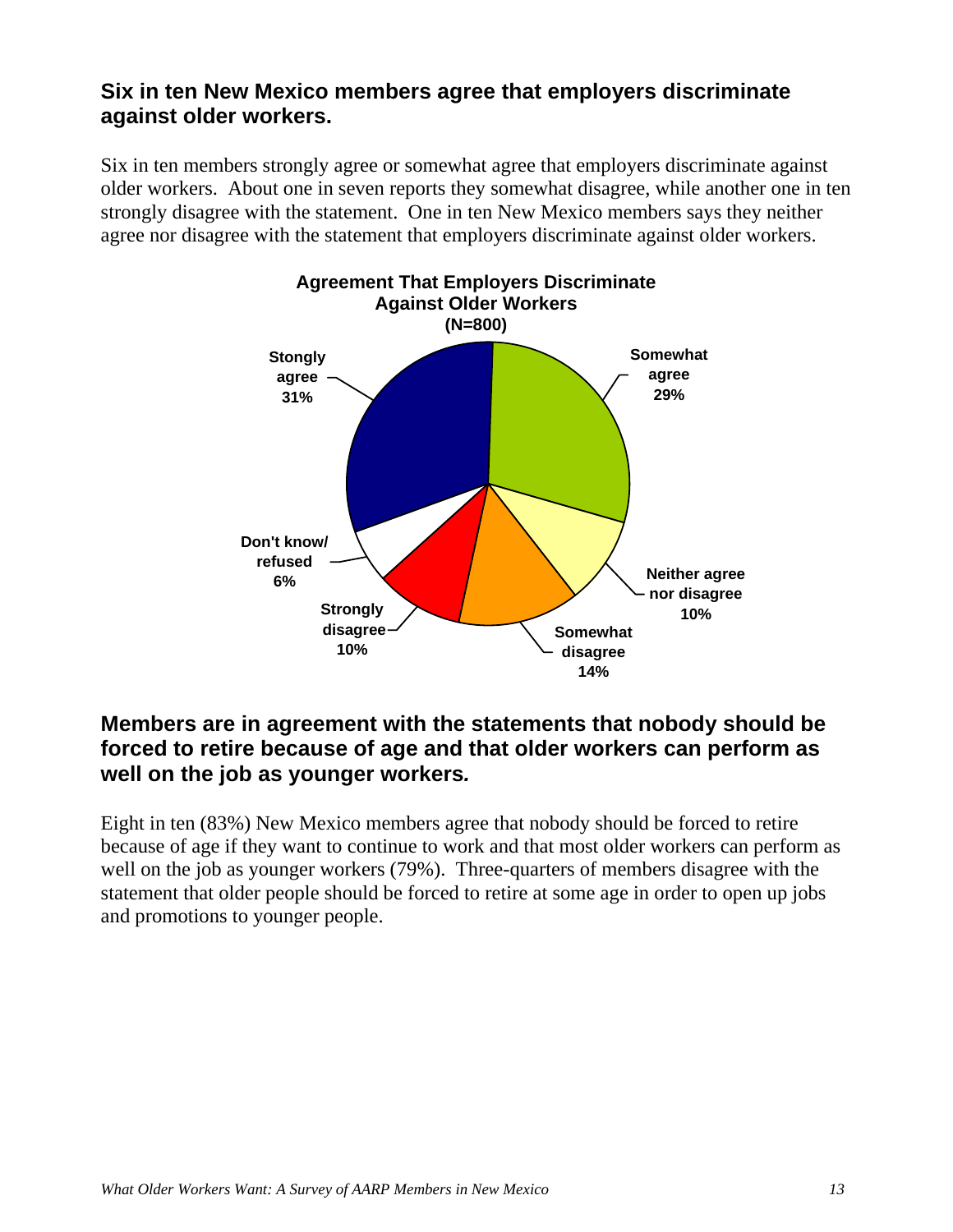### **Six in ten New Mexico members agree that employers discriminate against older workers.**

Six in ten members strongly agree or somewhat agree that employers discriminate against older workers. About one in seven reports they somewhat disagree, while another one in ten strongly disagree with the statement. One in ten New Mexico members says they neither agree nor disagree with the statement that employers discriminate against older workers.



## **Members are in agreement with the statements that nobody should be forced to retire because of age and that older workers can perform as well on the job as younger workers***.*

Eight in ten (83%) New Mexico members agree that nobody should be forced to retire because of age if they want to continue to work and that most older workers can perform as well on the job as younger workers (79%). Three-quarters of members disagree with the statement that older people should be forced to retire at some age in order to open up jobs and promotions to younger people.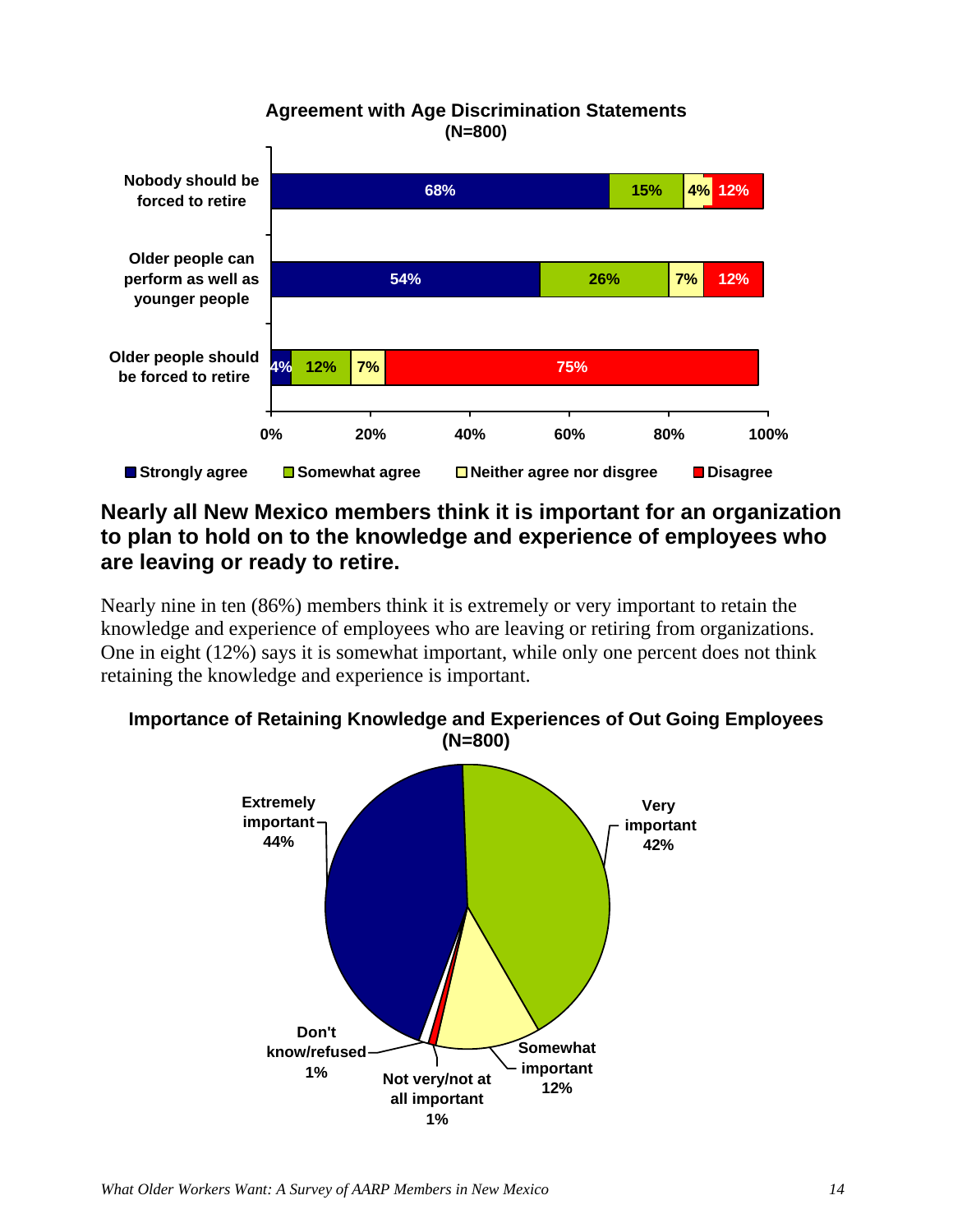#### **Agreement with Age Discrimination Statements (N=800) 4% 54% 68% 12% 26% 15% 7% 7% 75% 12% 4% 12% 0% 20% 40% 60% 80% 100% Older people should be forced to retire Older people can perform as well as younger people Nobody should be forced to retire Strongly agree Somewhat agree Neither agree nor disgree Disagree**

# **Nearly all New Mexico members think it is important for an organization to plan to hold on to the knowledge and experience of employees who are leaving or ready to retire.**

Nearly nine in ten (86%) members think it is extremely or very important to retain the knowledge and experience of employees who are leaving or retiring from organizations. One in eight (12%) says it is somewhat important, while only one percent does not think retaining the knowledge and experience is important.



### **Importance of Retaining Knowledge and Experiences of Out Going Employees (N=800)**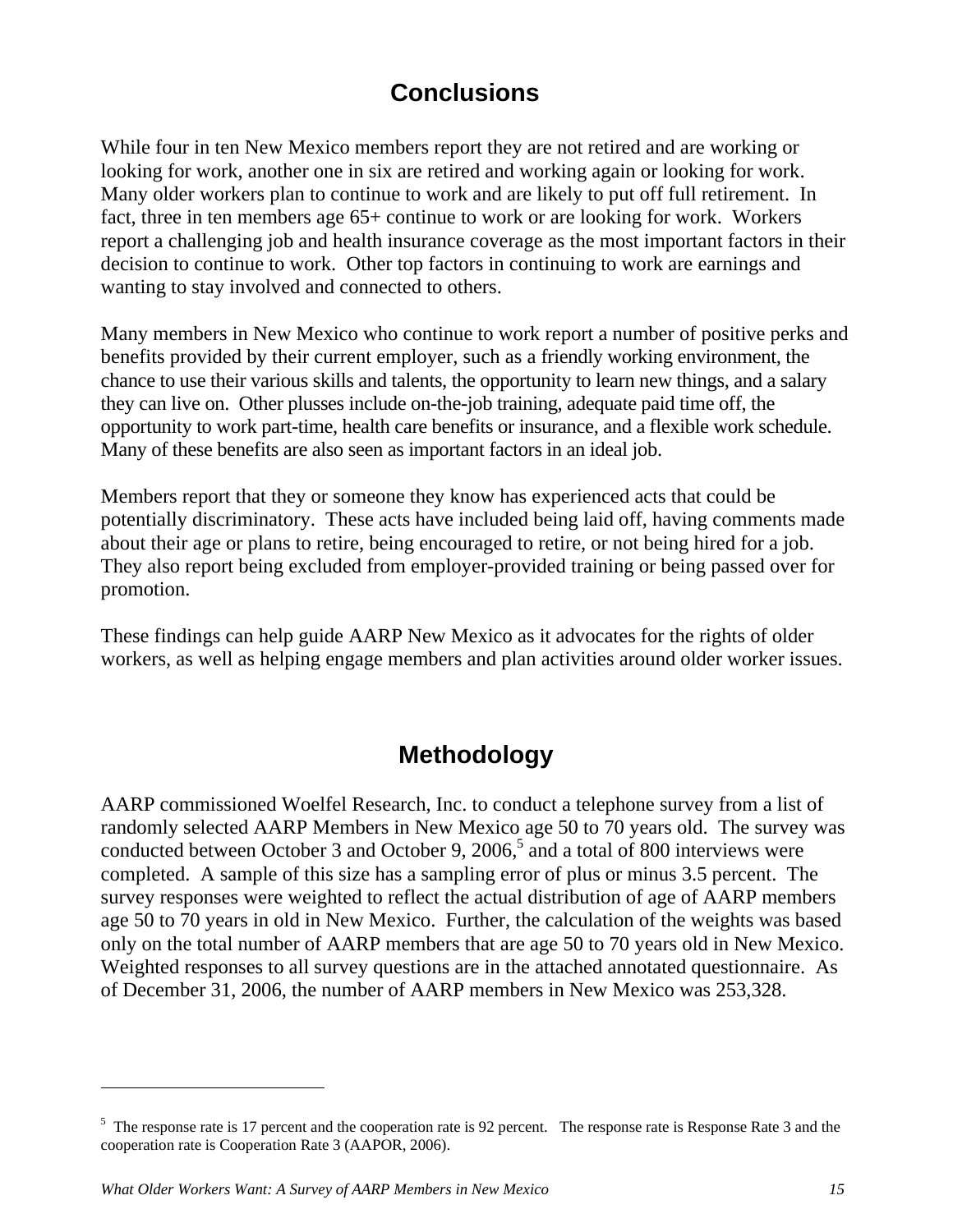# **Conclusions**

While four in ten New Mexico members report they are not retired and are working or looking for work, another one in six are retired and working again or looking for work. Many older workers plan to continue to work and are likely to put off full retirement. In fact, three in ten members age 65+ continue to work or are looking for work. Workers report a challenging job and health insurance coverage as the most important factors in their decision to continue to work. Other top factors in continuing to work are earnings and wanting to stay involved and connected to others.

Many members in New Mexico who continue to work report a number of positive perks and benefits provided by their current employer, such as a friendly working environment, the chance to use their various skills and talents, the opportunity to learn new things, and a salary they can live on. Other plusses include on-the-job training, adequate paid time off, the opportunity to work part-time, health care benefits or insurance, and a flexible work schedule. Many of these benefits are also seen as important factors in an ideal job.

Members report that they or someone they know has experienced acts that could be potentially discriminatory. These acts have included being laid off, having comments made about their age or plans to retire, being encouraged to retire, or not being hired for a job. They also report being excluded from employer-provided training or being passed over for promotion.

These findings can help guide AARP New Mexico as it advocates for the rights of older workers, as well as helping engage members and plan activities around older worker issues.

# **Methodology**

AARP commissioned Woelfel Research, Inc. to conduct a telephone survey from a list of randomly selected AARP Members in New Mexico age 50 to 70 years old. The survey was conducted between October 3 and October 9, 2006,<sup>5</sup> and a total of 800 interviews were completed. A sample of this size has a sampling error of plus or minus 3.5 percent. The survey responses were weighted to reflect the actual distribution of age of AARP members age 50 to 70 years in old in New Mexico. Further, the calculation of the weights was based only on the total number of AARP members that are age 50 to 70 years old in New Mexico. Weighted responses to all survey questions are in the attached annotated questionnaire. As of December 31, 2006, the number of AARP members in New Mexico was 253,328.

 $\overline{a}$ 

 $<sup>5</sup>$  The response rate is 17 percent and the cooperation rate is 92 percent. The response rate is Response Rate 3 and the</sup> cooperation rate is Cooperation Rate 3 (AAPOR, 2006).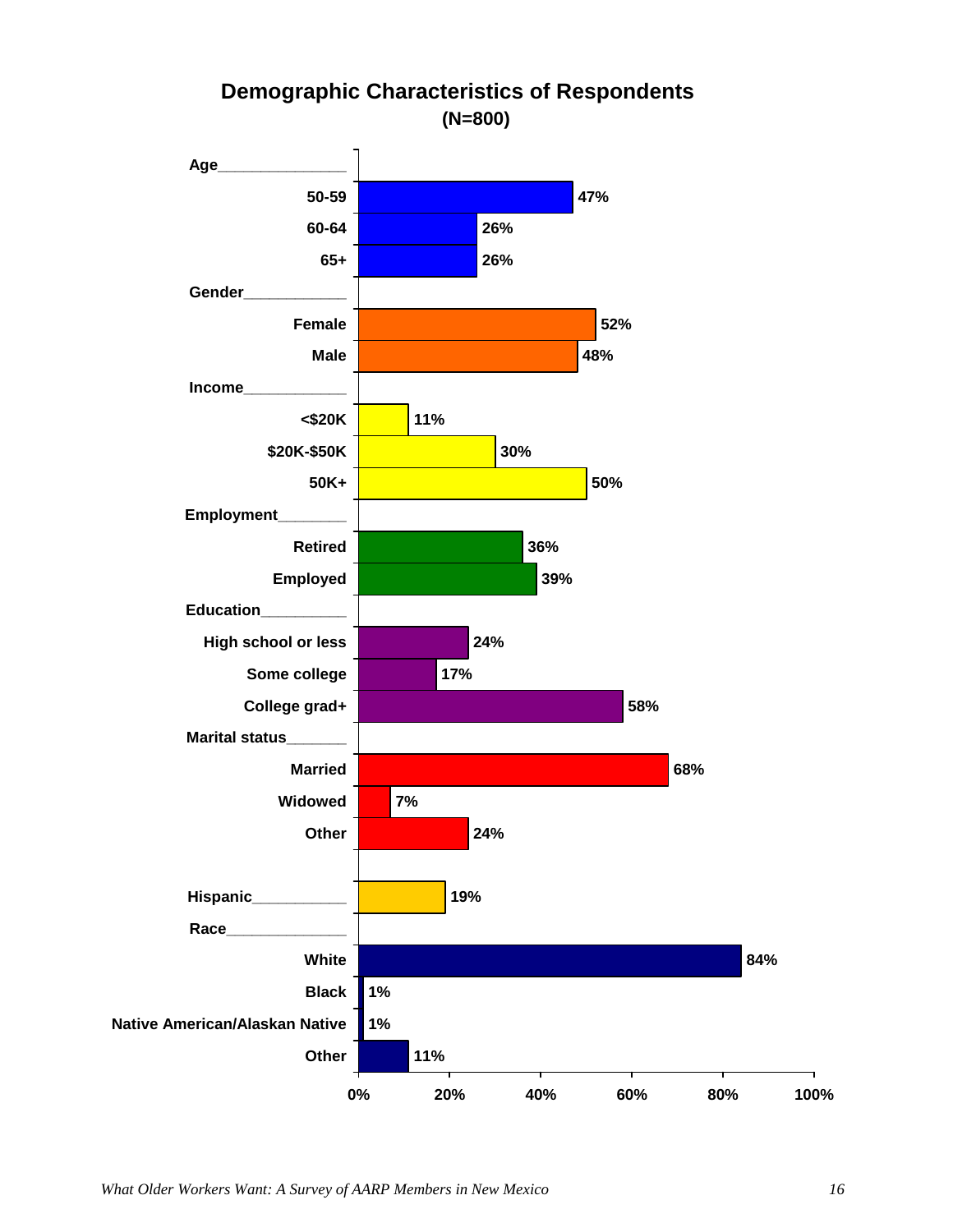

# **Demographic Characteristics of Respondents (N=800)**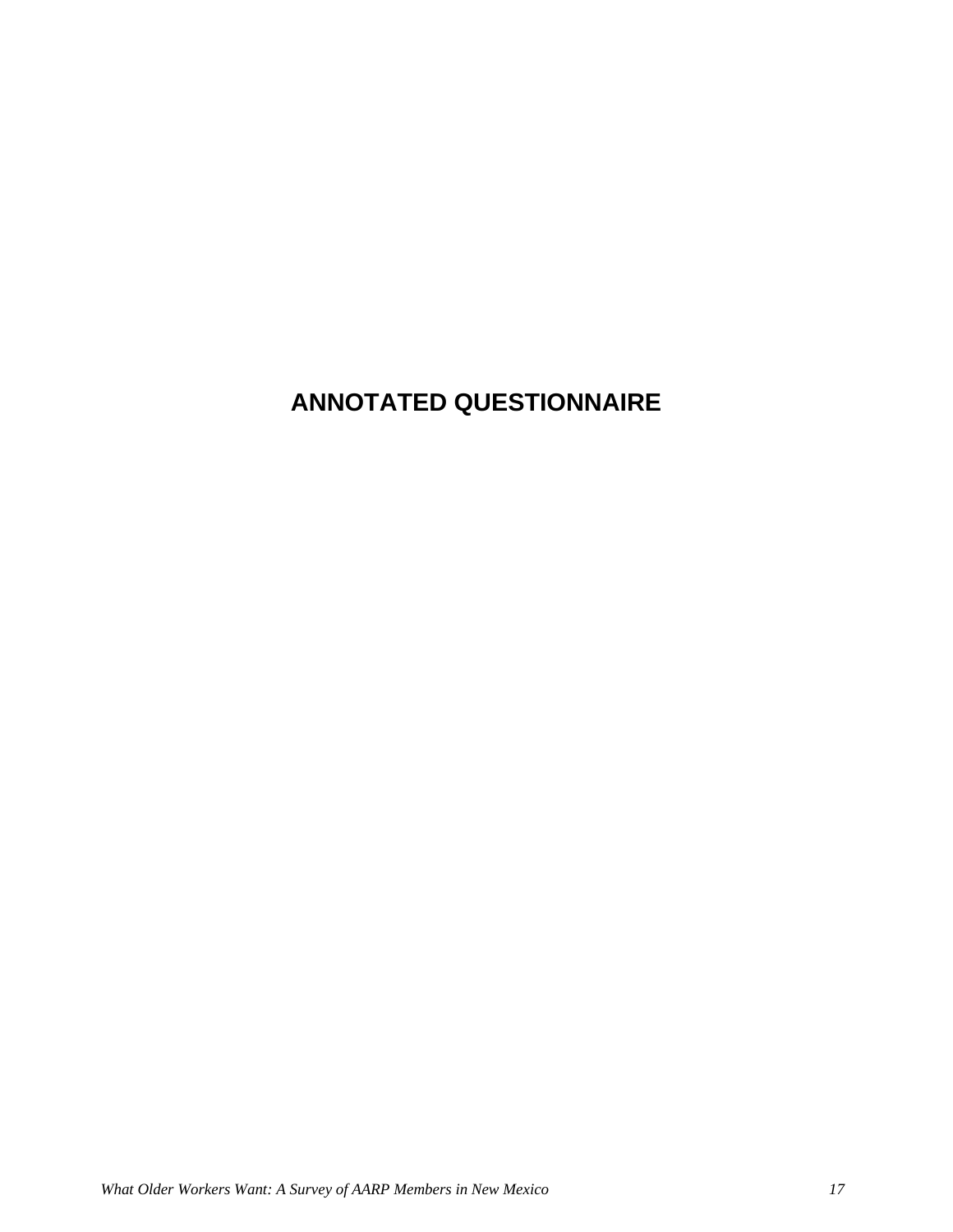# **ANNOTATED QUESTIONNAIRE**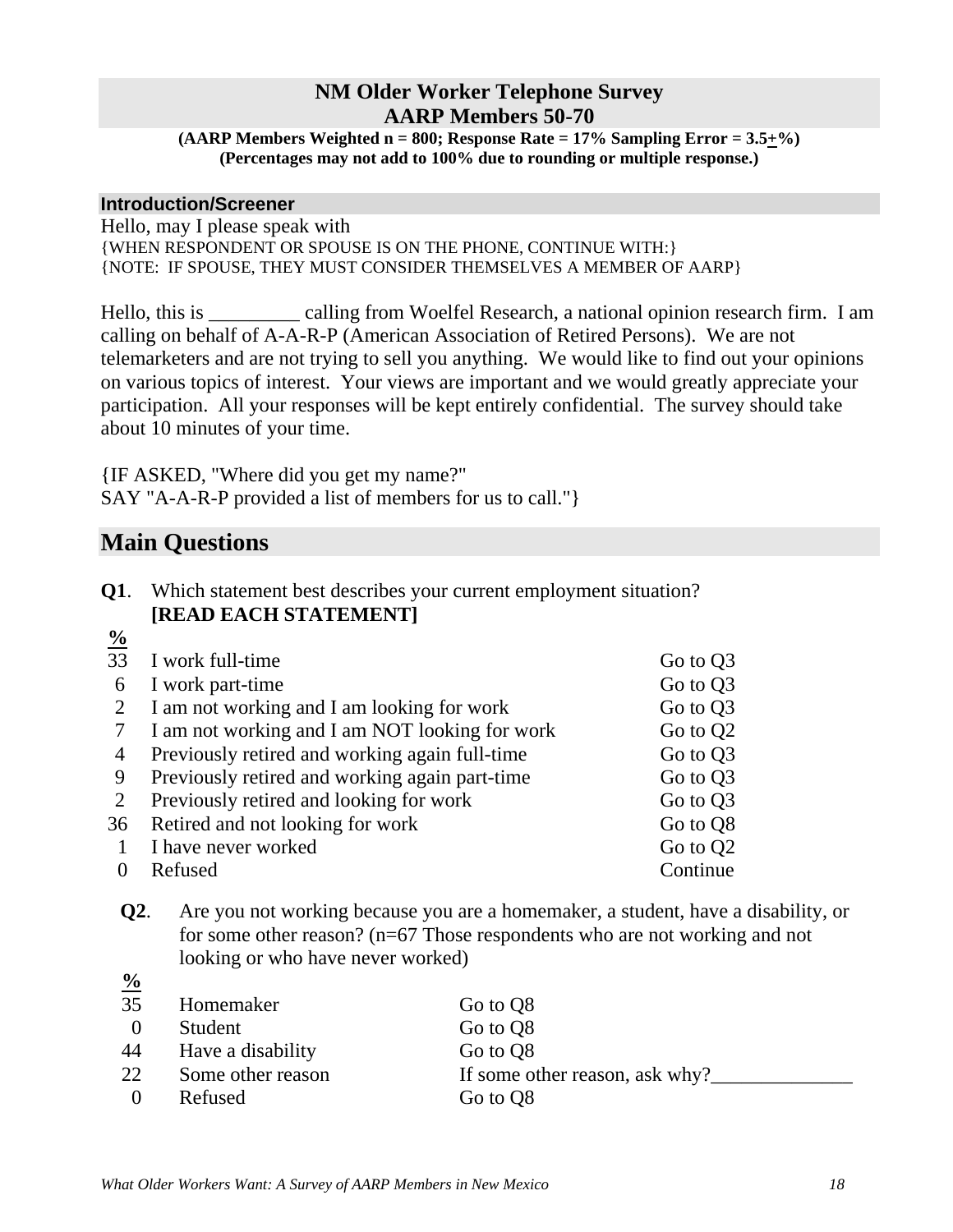### **NM Older Worker Telephone Survey AARP Members 50-70**

**(AARP Members Weighted n = 800; Response Rate = 17% Sampling Error = 3.5+%) (Percentages may not add to 100% due to rounding or multiple response.)** 

### **Introduction/Screener**

Hello, may I please speak with {WHEN RESPONDENT OR SPOUSE IS ON THE PHONE, CONTINUE WITH:} {NOTE: IF SPOUSE, THEY MUST CONSIDER THEMSELVES A MEMBER OF AARP}

Hello, this is \_\_\_\_\_\_\_\_\_ calling from Woelfel Research, a national opinion research firm. I am calling on behalf of A-A-R-P (American Association of Retired Persons). We are not telemarketers and are not trying to sell you anything. We would like to find out your opinions on various topics of interest. Your views are important and we would greatly appreciate your participation. All your responses will be kept entirely confidential. The survey should take about 10 minutes of your time.

{IF ASKED, "Where did you get my name?" SAY "A-A-R-P provided a list of members for us to call."}

# **Main Questions**

**%**

| Q1. | Which statement best describes your current employment situation? |
|-----|-------------------------------------------------------------------|
|     | <b>[READ EACH STATEMENT]</b>                                      |

| $\frac{0}{0}$ |                                                |                      |
|---------------|------------------------------------------------|----------------------|
| 33            | I work full-time                               | Go to Q3             |
| 6             | I work part-time                               | Go to Q3             |
| 2             | I am not working and I am looking for work     | Go to Q3             |
|               | I am not working and I am NOT looking for work | Go to Q <sub>2</sub> |
| 4             | Previously retired and working again full-time | Go to Q3             |
| 9             | Previously retired and working again part-time | Go to Q3             |
| 2             | Previously retired and looking for work        | Go to Q3             |
| 36            | Retired and not looking for work               | Go to Q8             |
|               | I have never worked                            | Go to Q <sub>2</sub> |
|               | Refused                                        | Continue             |

 **Q2**. Are you not working because you are a homemaker, a student, have a disability, or for some other reason? (n=67 Those respondents who are not working and not looking or who have never worked)

| $\frac{1}{2}$    |                   |                                |
|------------------|-------------------|--------------------------------|
| 35               | Homemaker         | Go to Q8                       |
| $\left( \right)$ | Student           | Go to Q8                       |
| 44               | Have a disability | Go to Q8                       |
| 22               | Some other reason | If some other reason, ask why? |
| $\Omega$         | Refused           | Go to Q8                       |
|                  |                   |                                |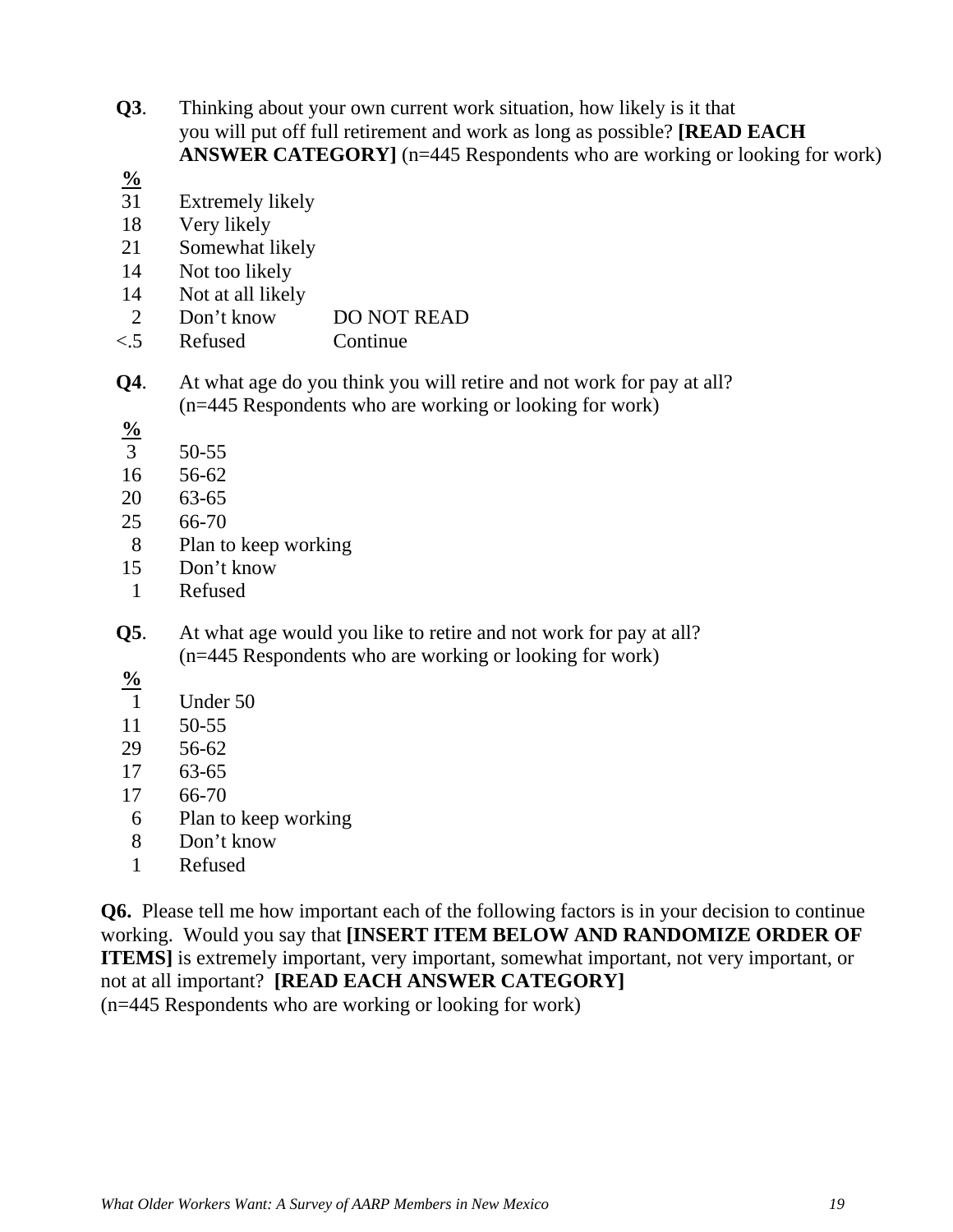- **Q3**. Thinking about your own current work situation, how likely is it that you will put off full retirement and work as long as possible? **[READ EACH ANSWER CATEGORY** [n=445 Respondents who are working or looking for work)
- **%**
- 31 Extremely likely
- 18 Very likely
- 21 Somewhat likely
- 14 Not too likely
- 14 Not at all likely
- 2 Don't know DO NOT READ
- <.5 Refused Continue
- **Q4**. At what age do you think you will retire and not work for pay at all? (n=445 Respondents who are working or looking for work)
- **%**
- 3 50-55
- 16 56-62
- 20 63-65
- 25 66-70
- 8 Plan to keep working
- 15 Don't know
- 1 Refused
- **Q5**. At what age would you like to retire and not work for pay at all? (n=445 Respondents who are working or looking for work)
- **%**
- 1 Under 50
- 11 50-55
- 29 56-62
- 17 63-65
- 17 66-70
- 6 Plan to keep working
- 8 Don't know
- 1 Refused

**Q6.** Please tell me how important each of the following factors is in your decision to continue working. Would you say that **[INSERT ITEM BELOW AND RANDOMIZE ORDER OF ITEMS]** is extremely important, very important, somewhat important, not very important, or not at all important? **[READ EACH ANSWER CATEGORY]**  (n=445 Respondents who are working or looking for work)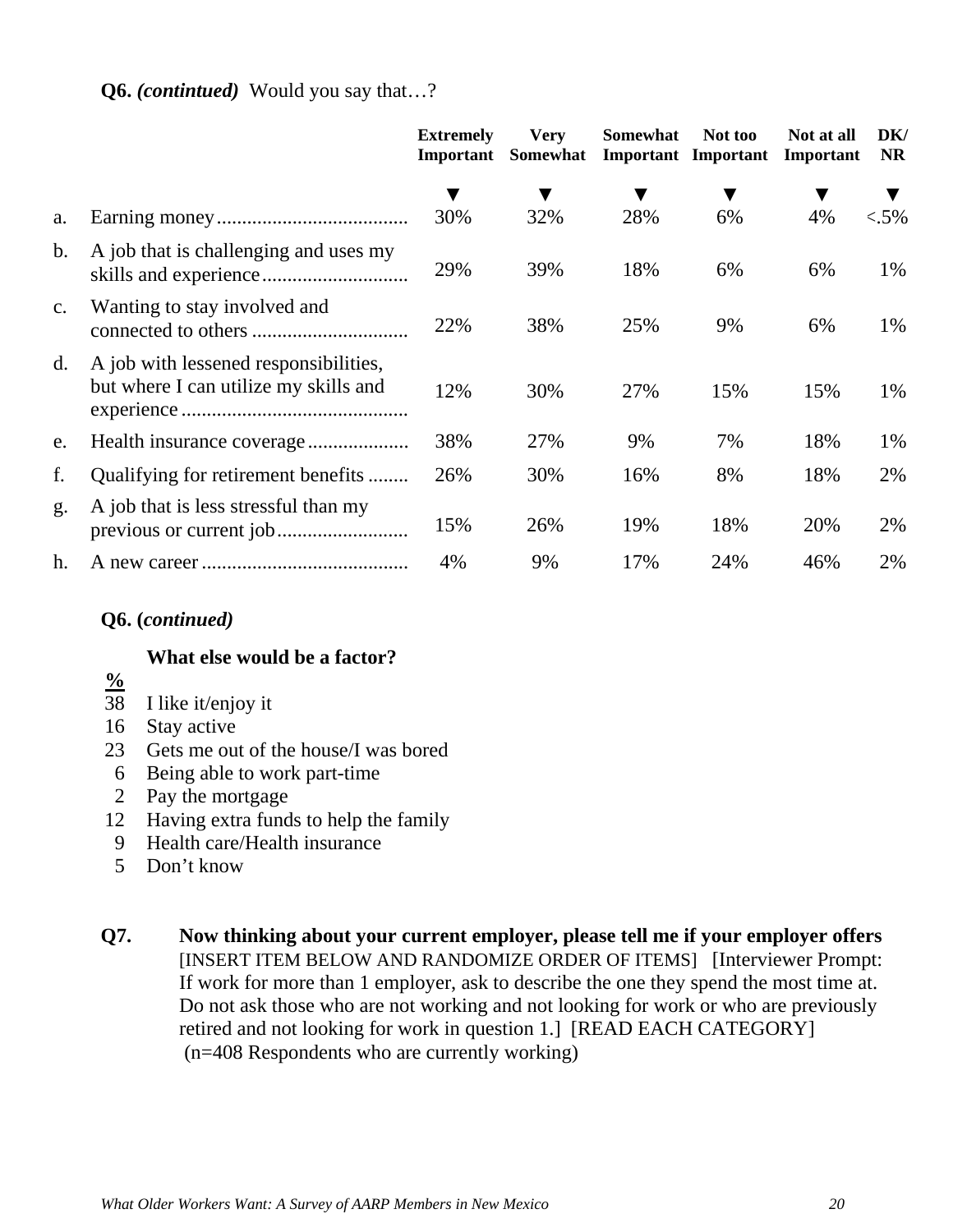### **Q6.** *(contintued)* Would you say that…?

|                |                                                                                | <b>Extremely</b><br>Important | <b>Very</b><br>Somewhat | Somewhat | Not too<br><b>Important</b> Important | Not at all<br>Important | DK/<br><b>NR</b> |
|----------------|--------------------------------------------------------------------------------|-------------------------------|-------------------------|----------|---------------------------------------|-------------------------|------------------|
|                |                                                                                |                               |                         |          |                                       |                         |                  |
| a.             |                                                                                | 30%                           | 32%                     | 28%      | 6%                                    | 4%                      | $< .5\%$         |
| $\mathbf{b}$ . | A job that is challenging and uses my                                          | 29%                           | 39%                     | 18%      | 6%                                    | 6%                      | 1%               |
| $\mathbf{c}$ . | Wanting to stay involved and                                                   | 22%                           | 38%                     | 25%      | 9%                                    | 6%                      | 1%               |
| d.             | A job with lessened responsibilities,<br>but where I can utilize my skills and | 12%                           | 30%                     | 27%      | 15%                                   | 15%                     | 1%               |
| e.             |                                                                                | 38%                           | 27%                     | 9%       | 7%                                    | 18%                     | 1%               |
| f.             | Qualifying for retirement benefits                                             | 26%                           | 30%                     | 16%      | 8%                                    | 18%                     | 2%               |
| g.             | A job that is less stressful than my                                           | 15%                           | 26%                     | 19%      | 18%                                   | 20%                     | 2%               |
| h.             |                                                                                | 4%                            | 9%                      | 17%      | 24%                                   | 46%                     | 2%               |

### **Q6. (***continued)*

### **What else would be a factor?**

- **%**
- 38 I like it/enjoy it
- 16 Stay active
- 23 Gets me out of the house/I was bored
- 6 Being able to work part-time
- 2 Pay the mortgage
- 12 Having extra funds to help the family
- 9 Health care/Health insurance
- 5 Don't know
- **Q7. Now thinking about your current employer, please tell me if your employer offers**  [INSERT ITEM BELOW AND RANDOMIZE ORDER OF ITEMS] [Interviewer Prompt: If work for more than 1 employer, ask to describe the one they spend the most time at. Do not ask those who are not working and not looking for work or who are previously retired and not looking for work in question 1.] [READ EACH CATEGORY] (n=408 Respondents who are currently working)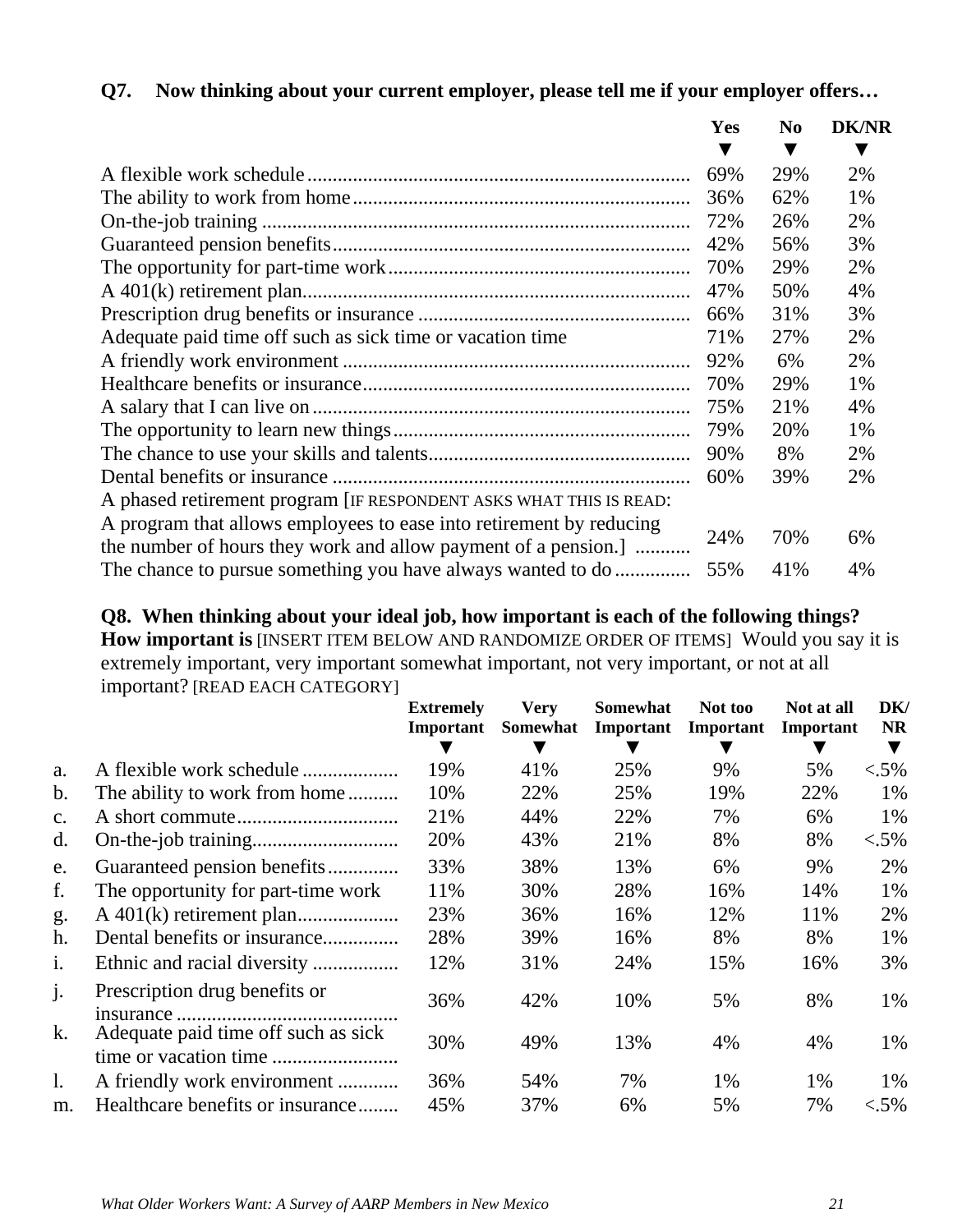|                                                                     | <b>Yes</b> | N <sub>0</sub> | <b>DK/NR</b> |
|---------------------------------------------------------------------|------------|----------------|--------------|
|                                                                     |            |                | ▼            |
|                                                                     | 69%        | 29%            | 2%           |
|                                                                     | 36%        | 62%            | 1%           |
|                                                                     | 72%        | 26%            | 2%           |
|                                                                     | 42%        | 56%            | 3%           |
|                                                                     | 70%        | 29%            | 2%           |
|                                                                     | 47%        | 50%            | 4%           |
|                                                                     | 66%        | 31%            | 3%           |
| Adequate paid time off such as sick time or vacation time           | 71%        | 27%            | 2%           |
|                                                                     | 92%        | 6%             | 2%           |
|                                                                     | 70%        | 29%            | 1%           |
|                                                                     | 75%        | 21%            | 4%           |
|                                                                     | 79%        | 20%            | 1%           |
|                                                                     | 90%        | 8%             | 2%           |
|                                                                     | 60%        | 39%            | 2%           |
| A phased retirement program [IF RESPONDENT ASKS WHAT THIS IS READ:  |            |                |              |
| A program that allows employees to ease into retirement by reducing |            |                |              |
| the number of hours they work and allow payment of a pension.]      | 24%        | 70%            | 6%           |
| The chance to pursue something you have always wanted to do         | 55%        | 41%            | 4%           |

### **Q7. Now thinking about your current employer, please tell me if your employer offers…**

**Q8. When thinking about your ideal job, how important is each of the following things? How important is** [INSERT ITEM BELOW AND RANDOMIZE ORDER OF ITEMS] Would you say it is extremely important, very important somewhat important, not very important, or not at all important? [READ EACH CATEGORY]

|                |                                     | <b>Extremely</b><br>Important | <b>Very</b><br>Somewhat | Somewhat<br>Important | Not too<br>Important | Not at all<br>Important | DK/<br>NR. |
|----------------|-------------------------------------|-------------------------------|-------------------------|-----------------------|----------------------|-------------------------|------------|
|                |                                     |                               |                         |                       |                      |                         |            |
| a.             | A flexible work schedule            | 19%                           | 41%                     | 25%                   | 9%                   | 5%                      | $< .5\%$   |
| b.             | The ability to work from home       | 10%                           | 22%                     | 25%                   | 19%                  | 22%                     | 1%         |
| $\mathbf{c}$ . |                                     | 21%                           | 44%                     | 22%                   | 7%                   | 6%                      | 1%         |
| d.             |                                     | 20%                           | 43%                     | 21%                   | 8%                   | 8%                      | $< .5\%$   |
| e.             | Guaranteed pension benefits         | 33%                           | 38%                     | 13%                   | 6%                   | 9%                      | 2%         |
| f.             | The opportunity for part-time work  | 11%                           | 30%                     | 28%                   | 16%                  | 14%                     | 1%         |
| g.             |                                     | 23%                           | 36%                     | 16%                   | 12%                  | 11%                     | 2%         |
| h.             | Dental benefits or insurance        | 28%                           | 39%                     | 16%                   | 8%                   | 8%                      | 1%         |
| i.             |                                     | 12%                           | 31%                     | 24%                   | 15%                  | 16%                     | 3%         |
| $\mathbf{j}$ . | Prescription drug benefits or       | 36%                           | 42%                     | 10%                   | 5%                   | 8%                      | 1%         |
| k.             | Adequate paid time off such as sick | 30%                           | 49%                     | 13%                   | 4%                   | 4%                      | 1%         |
| $\mathbf{l}$ . | A friendly work environment         | 36%                           | 54%                     | 7%                    | 1%                   | 1%                      | 1%         |
| m.             | Healthcare benefits or insurance    | 45%                           | 37%                     | 6%                    | 5%                   | 7%                      | $< .5\%$   |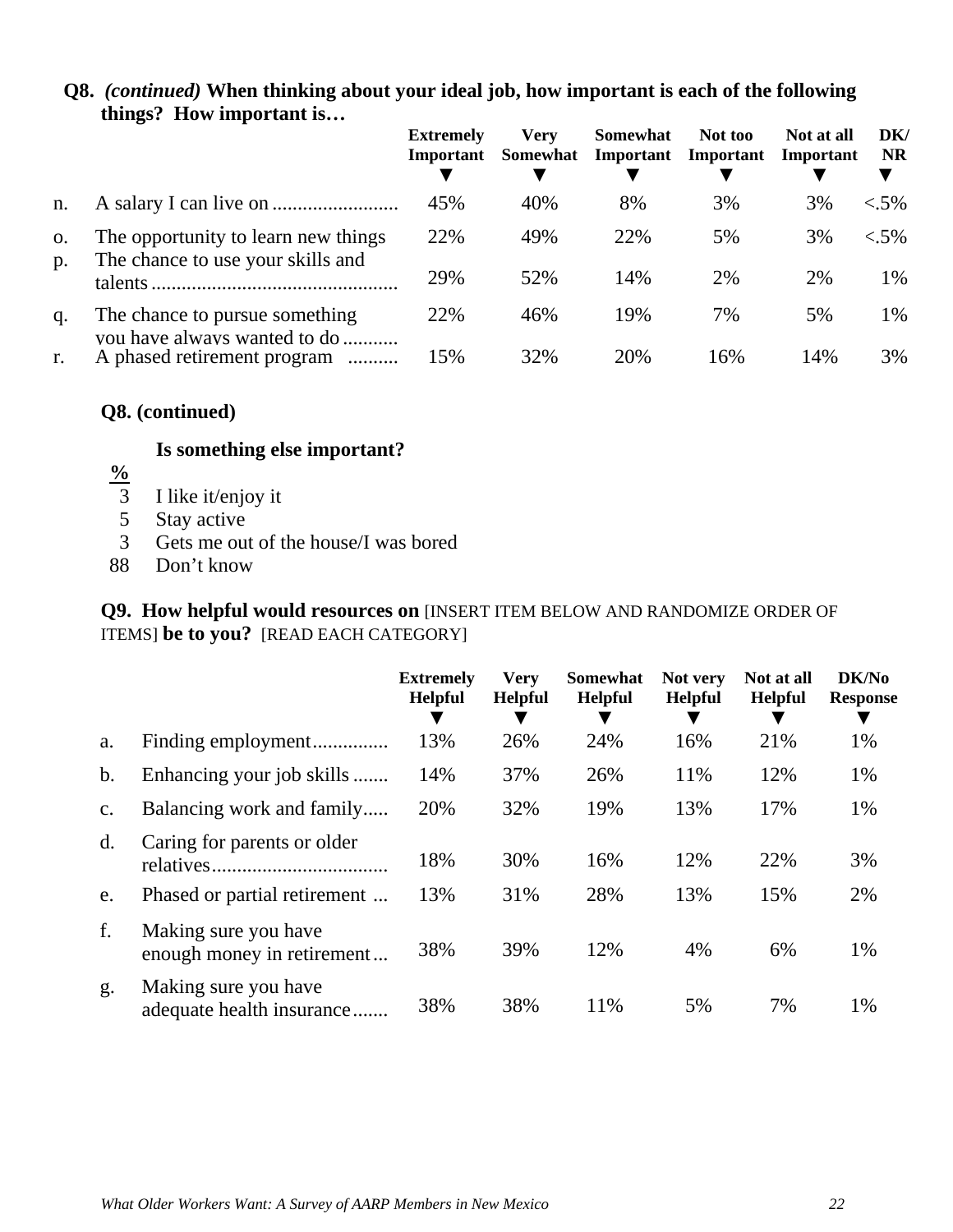|       |                                                                | <b>Extremely</b><br>Important | <b>Very</b><br>Somewhat | Somewhat<br>Important | Not too<br>Important | Not at all<br>Important | DK/<br><b>NR</b> |
|-------|----------------------------------------------------------------|-------------------------------|-------------------------|-----------------------|----------------------|-------------------------|------------------|
| n.    |                                                                | 45%                           | 40%                     | 8%                    | 3%                   | 3%                      | $< .5\%$         |
| 0.    | The opportunity to learn new things                            | 22%                           | 49%                     | 22%                   | 5%                   | 3%                      | $< .5\%$         |
| $p$ . | The chance to use your skills and<br>talents                   | 29%                           | 52%                     | 14%                   | 2%                   | 2%                      | 1%               |
| q.    | The chance to pursue something<br>vou have always wanted to do | 22%                           | 46%                     | 19%                   | 7%                   | 5%                      | 1%               |
| r.    | A phased retirement program<br>.                               | 15%                           | 32%                     | 20%                   | 16%                  | 14%                     | 3%               |

### **Q8.** *(continued)* **When thinking about your ideal job, how important is each of the following things? How important is…**

### **Q8. (continued)**

### **Is something else important?**

- $\frac{9}{3}$
- 3 I like it/enjoy it<br>5 Stay active
- 5 Stay active<br>3 Gets me ou
- Gets me out of the house/I was bored
- 88 Don't know

### **Q9. How helpful would resources on** [INSERT ITEM BELOW AND RANDOMIZE ORDER OF ITEMS] **be to you?** [READ EACH CATEGORY]

|                |                                                    | <b>Extremely</b><br><b>Helpful</b> | <b>Very</b><br><b>Helpful</b> | <b>Somewhat</b><br><b>Helpful</b> | Not very<br><b>Helpful</b> | Not at all<br><b>Helpful</b> | DK/No<br><b>Response</b> |
|----------------|----------------------------------------------------|------------------------------------|-------------------------------|-----------------------------------|----------------------------|------------------------------|--------------------------|
| a.             | Finding employment                                 | 13%                                | 26%                           | 24%                               | 16%                        | 21%                          | 1%                       |
| b.             | Enhancing your job skills                          | 14%                                | 37%                           | 26%                               | 11%                        | 12%                          | 1%                       |
| $C_{\bullet}$  | Balancing work and family                          | 20%                                | 32%                           | 19%                               | 13%                        | 17%                          | 1%                       |
| $\mathbf{d}$ . | Caring for parents or older                        | 18%                                | 30%                           | 16%                               | 12%                        | 22%                          | 3%                       |
| e.             | Phased or partial retirement                       | 13%                                | 31%                           | 28%                               | 13%                        | 15%                          | 2%                       |
| f.             | Making sure you have<br>enough money in retirement | 38%                                | 39%                           | 12%                               | 4%                         | 6%                           | 1%                       |
| g.             | Making sure you have<br>adequate health insurance  | 38%                                | 38%                           | 11%                               | 5%                         | 7%                           | 1%                       |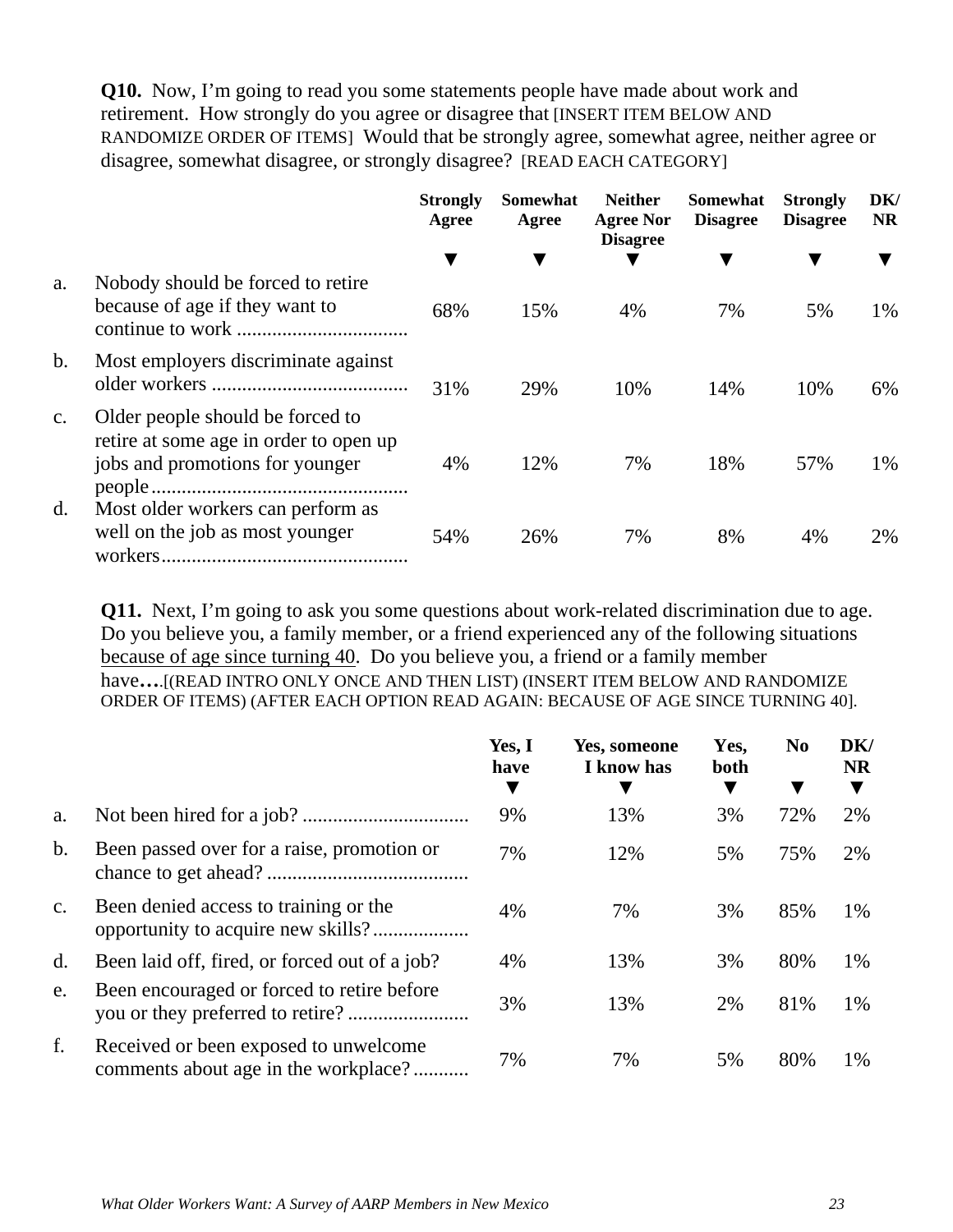**Q10.** Now, I'm going to read you some statements people have made about work and retirement. How strongly do you agree or disagree that [INSERT ITEM BELOW AND RANDOMIZE ORDER OF ITEMS] Would that be strongly agree, somewhat agree, neither agree or disagree, somewhat disagree, or strongly disagree? [READ EACH CATEGORY]

|                |                                                                                                               | <b>Strongly</b><br>Agree | <b>Somewhat</b><br>Agree | <b>Neither</b><br><b>Agree Nor</b><br><b>Disagree</b> | Somewhat<br><b>Disagree</b> | <b>Strongly</b><br><b>Disagree</b> | DK/<br><b>NR</b> |
|----------------|---------------------------------------------------------------------------------------------------------------|--------------------------|--------------------------|-------------------------------------------------------|-----------------------------|------------------------------------|------------------|
|                |                                                                                                               |                          |                          |                                                       |                             |                                    |                  |
| a.             | Nobody should be forced to retire<br>because of age if they want to                                           | 68%                      | 15%                      | 4%                                                    | 7%                          | 5%                                 | 1%               |
| $\mathbf b$ .  | Most employers discriminate against                                                                           | 31%                      | 29%                      | 10%                                                   | 14%                         | 10%                                | 6%               |
| $\mathbf{c}$ . | Older people should be forced to<br>retire at some age in order to open up<br>jobs and promotions for younger | 4%                       | 12%                      | 7%                                                    | 18%                         | 57%                                | 1%               |
| d.             | Most older workers can perform as<br>well on the job as most younger                                          | 54%                      | 26%                      | 7%                                                    | 8%                          | 4%                                 | 2%               |

**Q11.** Next, I'm going to ask you some questions about work-related discrimination due to age. Do you believe you, a family member, or a friend experienced any of the following situations because of age since turning 40. Do you believe you, a friend or a family member have**…**.[(READ INTRO ONLY ONCE AND THEN LIST) (INSERT ITEM BELOW AND RANDOMIZE ORDER OF ITEMS) (AFTER EACH OPTION READ AGAIN: BECAUSE OF AGE SINCE TURNING 40].

|                |                                                                               | Yes, I<br>have<br>▼ | Yes, someone<br>I know has | Yes,<br>both | N <sub>0</sub><br>▼ | DK/<br><b>NR</b> |
|----------------|-------------------------------------------------------------------------------|---------------------|----------------------------|--------------|---------------------|------------------|
| a.             |                                                                               | 9%                  | 13%                        | 3%           | 72%                 | 2%               |
| b.             | Been passed over for a raise, promotion or                                    | 7%                  | 12%                        | 5%           | 75%                 | 2%               |
| $\mathbf{c}$ . | Been denied access to training or the                                         | 4%                  | 7%                         | 3%           | 85%                 | 1%               |
| d.             | Been laid off, fired, or forced out of a job?                                 | 4%                  | 13%                        | 3%           | 80%                 | 1%               |
| e.             | Been encouraged or forced to retire before                                    | 3%                  | 13%                        | 2%           | 81%                 | 1%               |
| f.             | Received or been exposed to unwelcome<br>comments about age in the workplace? | 7%                  | 7%                         | 5%           | 80%                 | 1%               |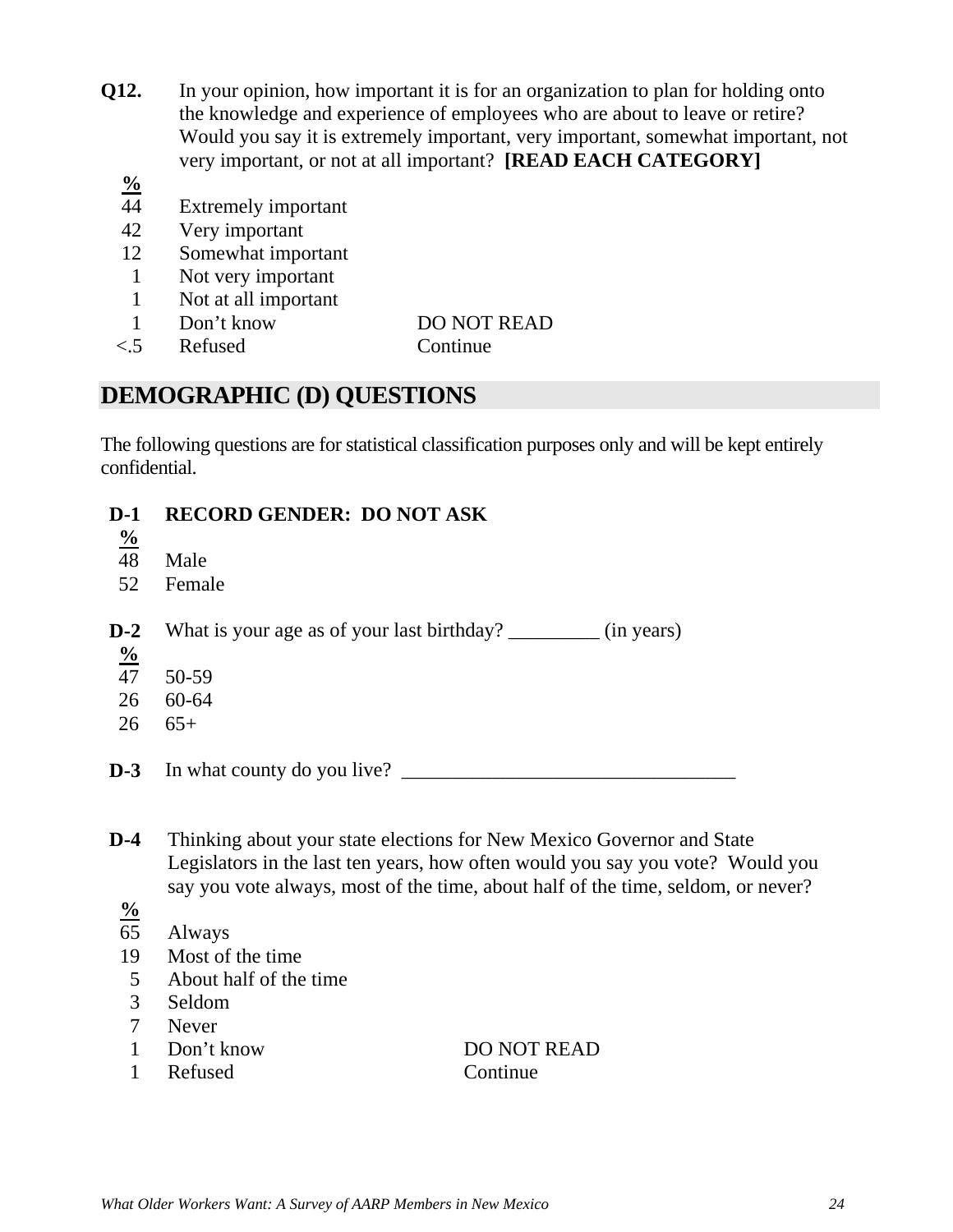- **Q12.** In your opinion, how important it is for an organization to plan for holding onto the knowledge and experience of employees who are about to leave or retire? Would you say it is extremely important, very important, somewhat important, not very important, or not at all important? **[READ EACH CATEGORY]**
	- **%**
	- 44 Extremely important
	- 42 Very important
	- 12 Somewhat important
	- 1 Not very important
	- 1 Not at all important
	- 1 Don't know DO NOT READ
	- <.5 Refused Continue

### **DEMOGRAPHIC (D) QUESTIONS**

The following questions are for statistical classification purposes only and will be kept entirely confidential.

### **D-1 RECORD GENDER: DO NOT ASK**

- $\frac{9}{48}$
- Male
- 52 Female

**D-2** What is your age as of your last birthday? \_\_\_\_\_\_\_\_\_ (in years)

- **%**
- 47 50-59
- 26 60-64
- $26 \t 65+$

**D-3** In what county do you live? \_\_\_\_\_\_\_\_\_\_\_\_\_\_\_\_\_\_\_\_\_\_\_\_\_\_\_\_\_\_\_\_\_

- **D-4** Thinking about your state elections for New Mexico Governor and State Legislators in the last ten years, how often would you say you vote? Would you say you vote always, most of the time, about half of the time, seldom, or never?
	- **%**
	- 65 Always
	- 19 Most of the time
	- 5 About half of the time
	- 3 Seldom
	- 7 Never
	-
	- 1 Refused Continue

1 Don't know DO NOT READ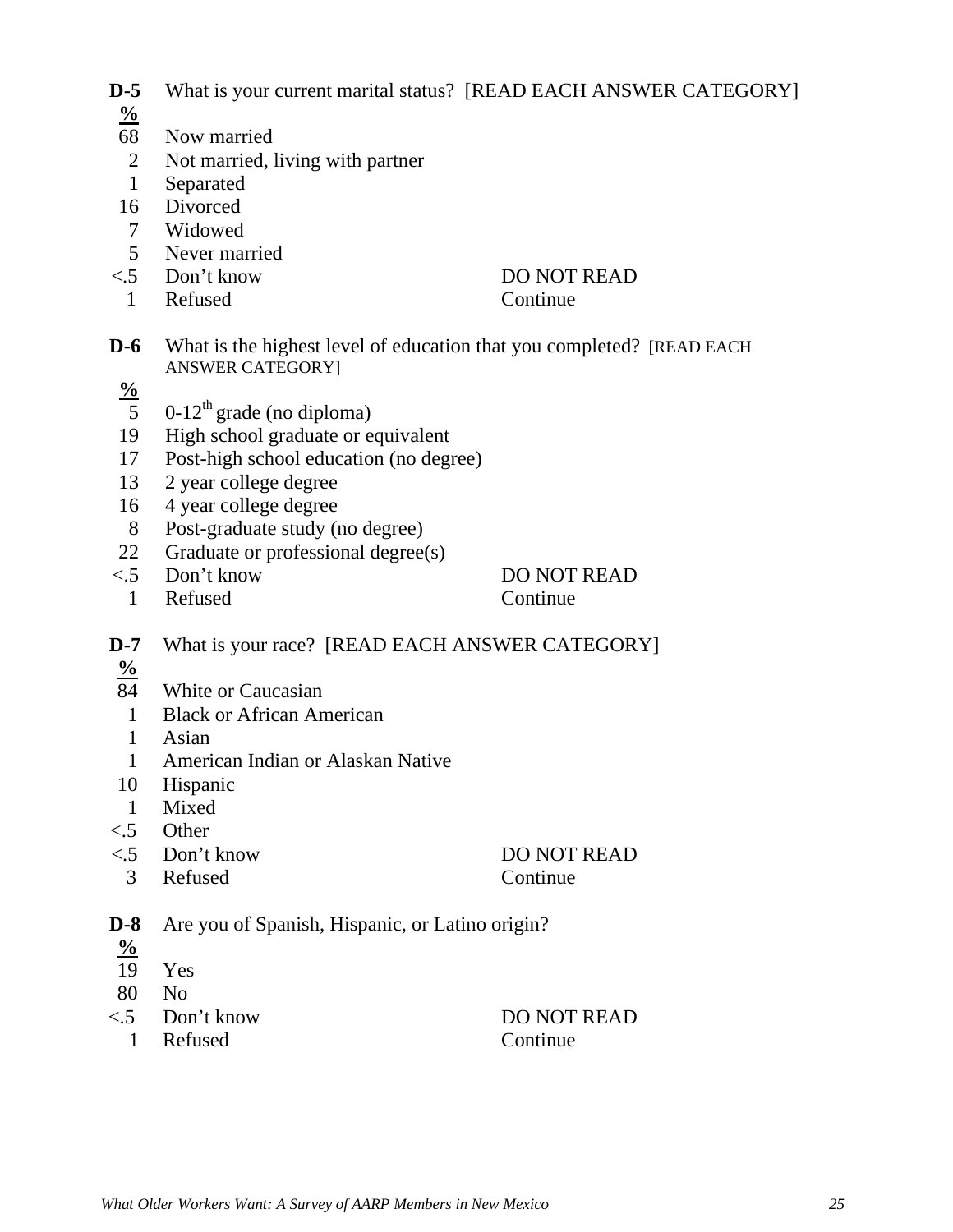- **D-5** What is your current marital status? [READ EACH ANSWER CATEGORY]
- **%**
- 68 Now married
- 2 Not married, living with partner
- 1 Separated
- 16 Divorced
- 7 Widowed
- 5 Never married
- 
- 1 Refused Continue
- <.5 Don't know DO NOT READ
- **D-6** What is the highest level of education that you completed? [READ EACH ANSWER CATEGORY]
- **%**
- $\overline{5}$  0-12<sup>th</sup> grade (no diploma)
- 19 High school graduate or equivalent
- 17 Post-high school education (no degree)
- 13 2 year college degree
- 16 4 year college degree
- 8 Post-graduate study (no degree)
- 22 Graduate or professional degree(s)
- <.5 Don't know DO NOT READ
- 1 Refused Continue

- **D-7** What is your race? [READ EACH ANSWER CATEGORY]
- **%**
- 84 White or Caucasian
- 1 Black or African American
- 1 Asian
- 1 American Indian or Alaskan Native
- 10 Hispanic
- 1 Mixed
- <.5 Other

<.5 Don't know DO NOT READ

3 Refused Continue

- **D-8** Are you of Spanish, Hispanic, or Latino origin?
- $\frac{9}{6}$ <br>19
- Yes
- 80 No
- <.5 Don't know DO NOT READ
	- 1 Refused Continue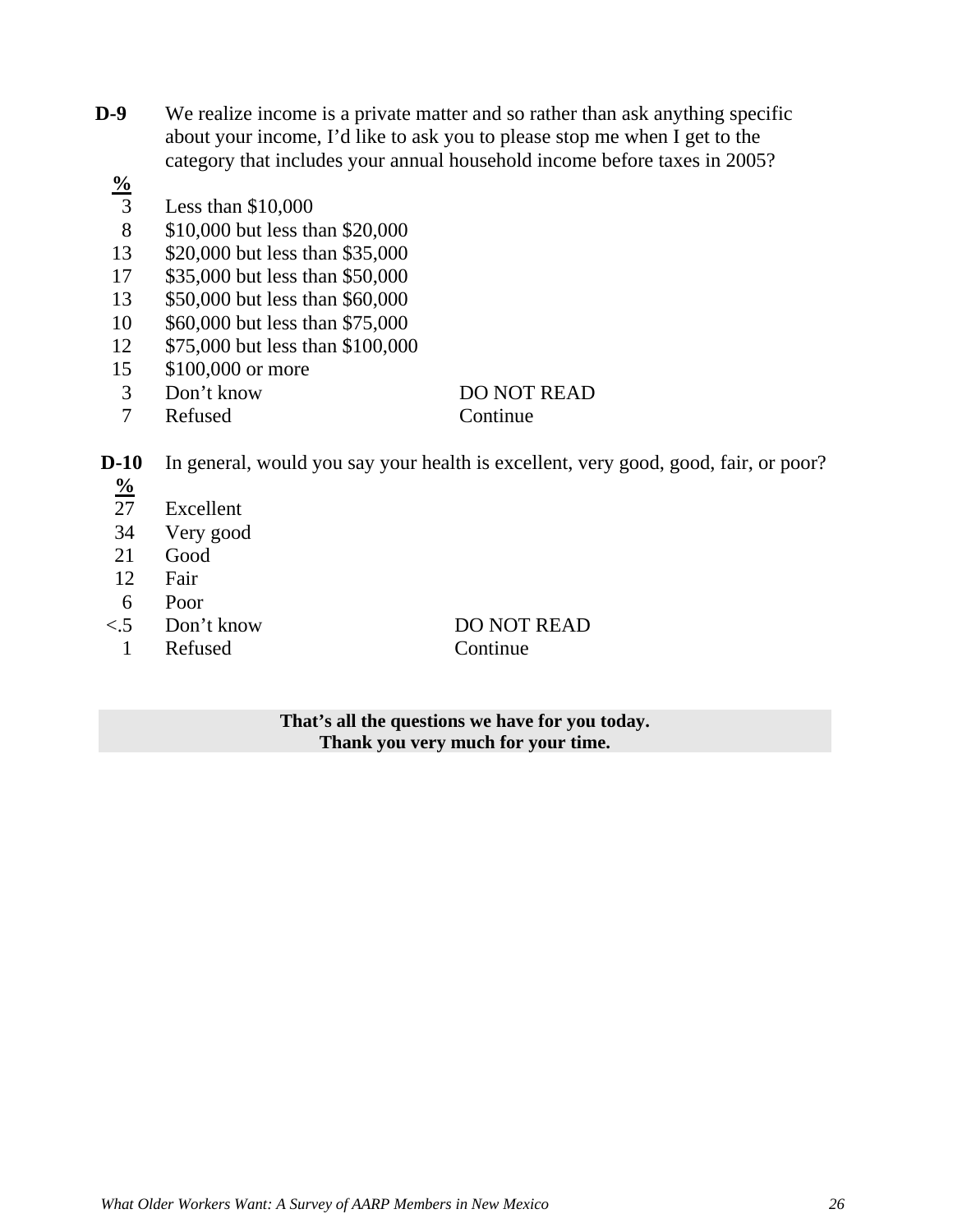- **D-9** We realize income is a private matter and so rather than ask anything specific about your income, I'd like to ask you to please stop me when I get to the category that includes your annual household income before taxes in 2005?
	- $\frac{9}{3}$ 
		- Less than  $$10,000$
	- 8 \$10,000 but less than \$20,000
	- 13 \$20,000 but less than \$35,000
	- 17 \$35,000 but less than \$50,000
	- 13 \$50,000 but less than \$60,000
	- 10 \$60,000 but less than \$75,000
	- 12 \$75,000 but less than \$100,000
	- 15 \$100,000 or more
	- 3 Don't know DO NOT READ
	- 7 Refused Continue

- **D-10** In general, would you say your health is excellent, very good, good, fair, or poor?
	- $\frac{9}{27}$
	- Excellent 34 Very good
	-
	- 21 Good
	- 12 Fair
	- 6 Poor
	-
	- 1 Refused Continue

<.5 Don't know DO NOT READ

**That's all the questions we have for you today. Thank you very much for your time.**